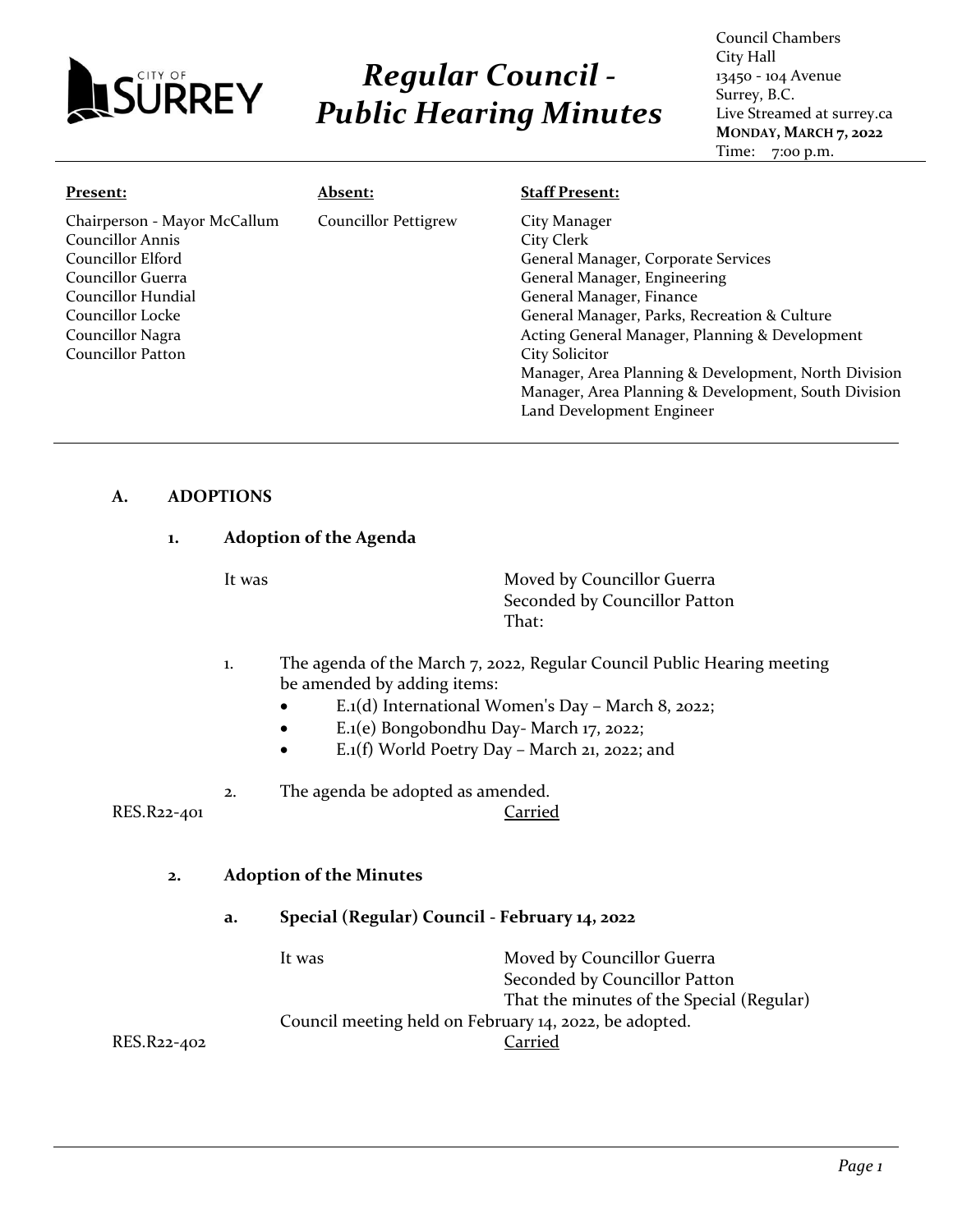

# *Regular Council - Public Hearing Minutes*

Council Chambers City Hall 13450 - 104 Avenue Surrey, B.C. Live Streamed at surrey.ca **MONDAY, MARCH 7, 2022** Time: 7:00 p.m.

| Present:                     | Absent:                     | <b>Staff Present:</b>                                |
|------------------------------|-----------------------------|------------------------------------------------------|
| Chairperson - Mayor McCallum | <b>Councillor Pettigrew</b> | City Manager                                         |
| <b>Councillor Annis</b>      |                             | City Clerk                                           |
| Councillor Elford            |                             | General Manager, Corporate Services                  |
| Councillor Guerra            |                             | General Manager, Engineering                         |
| Councillor Hundial           |                             | General Manager, Finance                             |
| Councillor Locke             |                             | General Manager, Parks, Recreation & Culture         |
| Councillor Nagra             |                             | Acting General Manager, Planning & Development       |
| Councillor Patton            |                             | <b>City Solicitor</b>                                |
|                              |                             | Manager, Area Planning & Development, North Division |
|                              |                             | Manager, Area Planning & Development, South Division |
|                              |                             | Land Development Engineer                            |

### **A. ADOPTIONS**

### **1. Adoption of the Agenda**

It was **Moved by Councillor Guerra** Seconded by Councillor Patton That:

- 1. The agenda of the March 7, 2022, Regular Council Public Hearing meeting be amended by adding items:
	- E.1(d) International Women's Day March 8, 2022;
	- E.1(e) Bongobondhu Day- March 17, 2022;
	- E.1(f) World Poetry Day March 21, 2022; and
- 2. The agenda be adopted as amended.

RES.R22-401 Carried

### **2. Adoption of the Minutes**

### **a. Special (Regular) Council - February 14, 2022**

It was Moved by Councillor Guerra Seconded by Councillor Patton That the minutes of the Special (Regular) Council meeting held on February 14, 2022, be adopted. RES.R22-402 Carried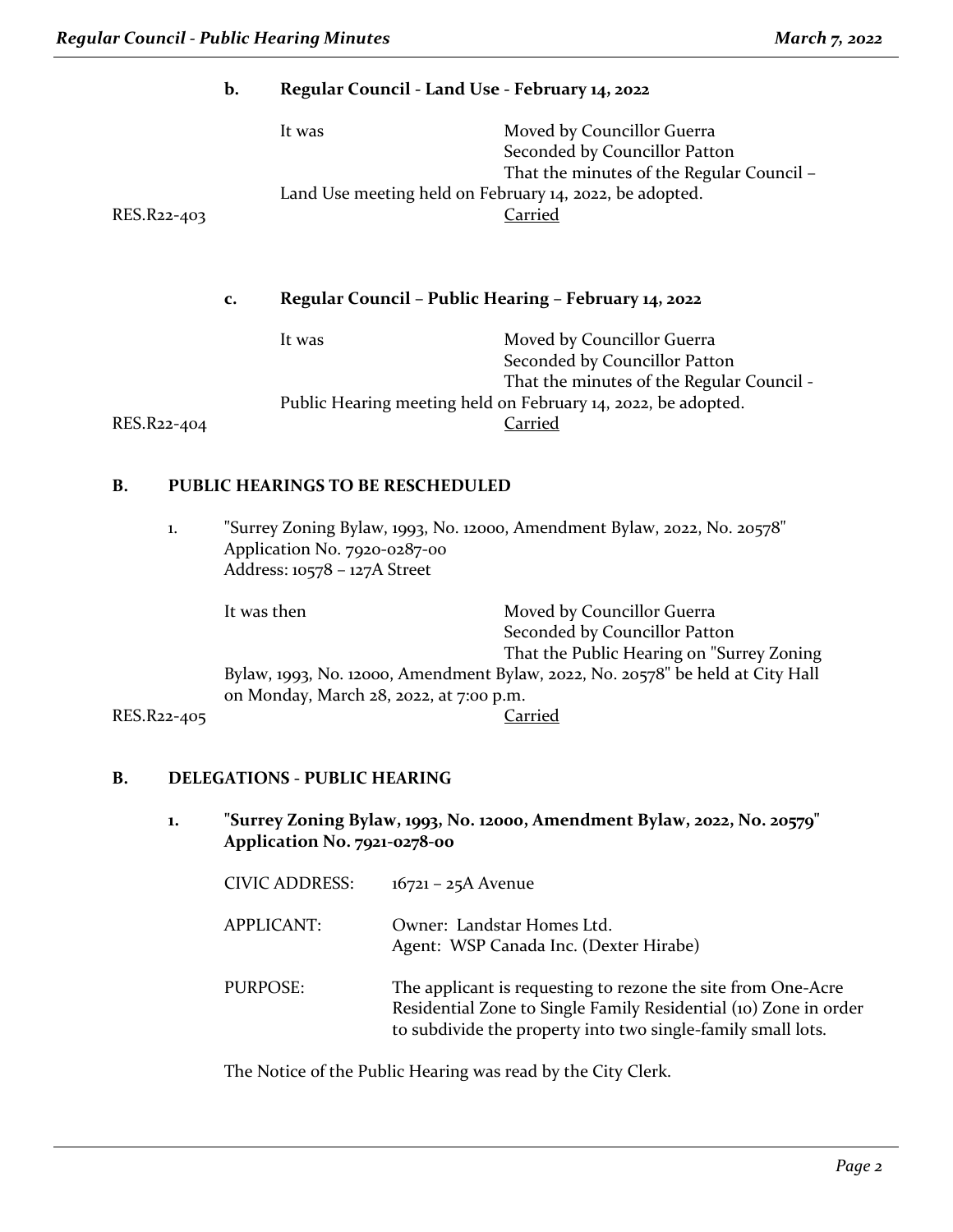|             | b.          | Regular Council - Land Use - February 14, 2022                    |                                                                                                                     |
|-------------|-------------|-------------------------------------------------------------------|---------------------------------------------------------------------------------------------------------------------|
| RES.R22-403 |             | It was<br>Land Use meeting held on February 14, 2022, be adopted. | Moved by Councillor Guerra<br>Seconded by Councillor Patton<br>That the minutes of the Regular Council -<br>Carried |
|             | c.          | Regular Council - Public Hearing - February 14, 2022              |                                                                                                                     |
|             |             | It was                                                            | Moved by Councillor Guerra<br>Seconded by Councillor Patton<br>That the minutes of the Regular Council -            |
| RES.R22-404 |             |                                                                   | Public Hearing meeting held on February 14, 2022, be adopted.<br>Carried                                            |
| <b>B.</b>   |             | PUBLIC HEARINGS TO BE RESCHEDULED                                 |                                                                                                                     |
| 1.          |             | Application No. 7920-0287-00<br>Address: 10578 - 127A Street      | "Surrey Zoning Bylaw, 1993, No. 12000, Amendment Bylaw, 2022, No. 20578"                                            |
|             | It was then |                                                                   | Moved by Councillor Guerra<br>Seconded by Councillor Patton<br>That the Public Hearing on "Surrey Zoning            |
| RES.R22-405 |             | on Monday, March 28, 2022, at 7:00 p.m.                           | Bylaw, 1993, No. 12000, Amendment Bylaw, 2022, No. 20578" be held at City Hall<br><b>Carried</b>                    |

### **B. DELEGATIONS - PUBLIC HEARING**

**1. "Surrey Zoning Bylaw, 1993, No. 12000, Amendment Bylaw, 2022, No. 20579" Application No. 7921-0278-00**

| <b>CIVIC ADDRESS:</b> | $16721 - 25A$ Avenue                                                                                                                                                                             |
|-----------------------|--------------------------------------------------------------------------------------------------------------------------------------------------------------------------------------------------|
| <b>APPLICANT:</b>     | Owner: Landstar Homes Ltd.<br>Agent: WSP Canada Inc. (Dexter Hirabe)                                                                                                                             |
| PURPOSE:              | The applicant is requesting to rezone the site from One-Acre<br>Residential Zone to Single Family Residential (10) Zone in order<br>to subdivide the property into two single-family small lots. |

The Notice of the Public Hearing was read by the City Clerk.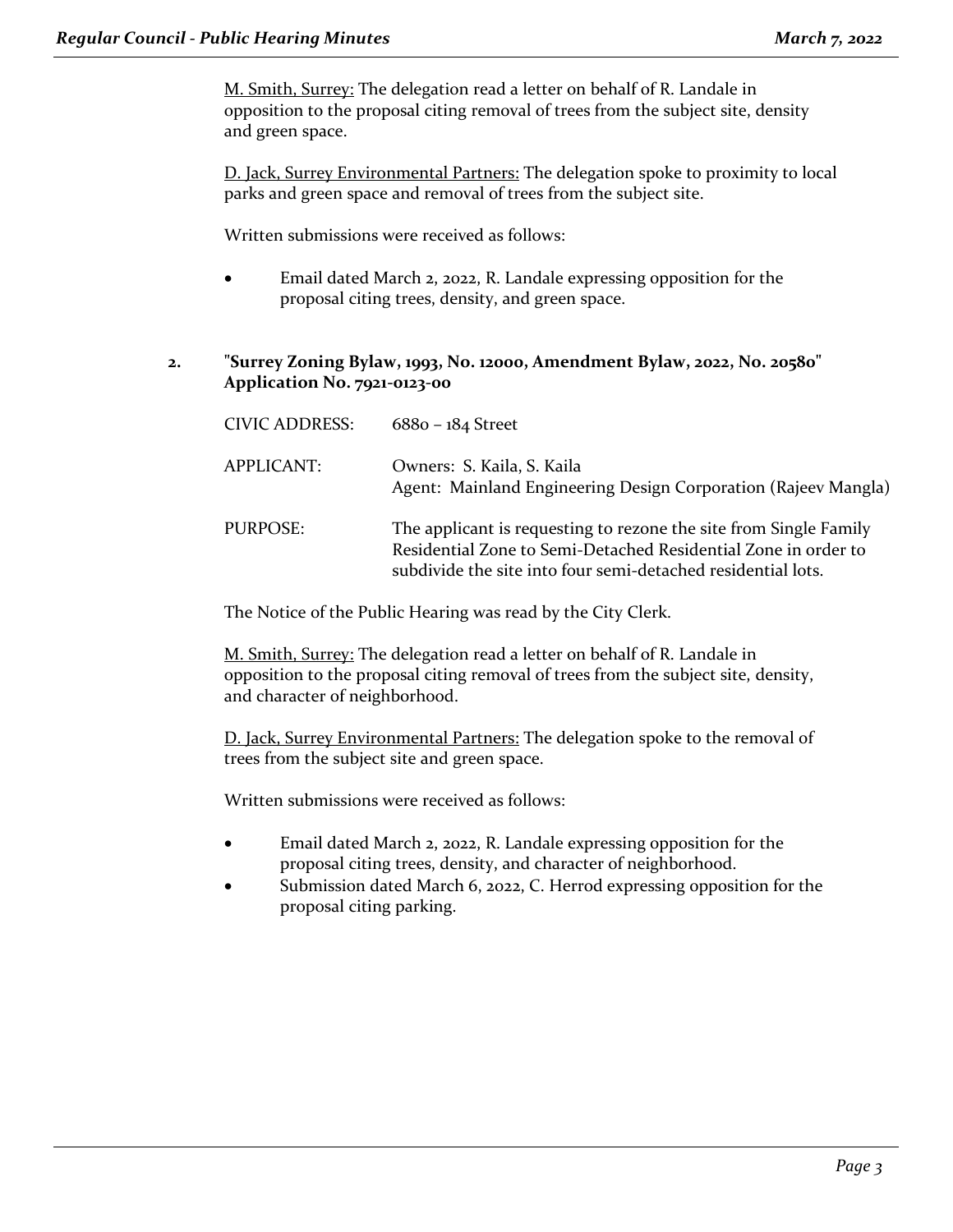M. Smith, Surrey: The delegation read a letter on behalf of R. Landale in opposition to the proposal citing removal of trees from the subject site, density and green space.

D. Jack, Surrey Environmental Partners: The delegation spoke to proximity to local parks and green space and removal of trees from the subject site.

Written submissions were received as follows:

- Email dated March 2, 2022, R. Landale expressing opposition for the proposal citing trees, density, and green space.
- **2. "Surrey Zoning Bylaw, 1993, No. 12000, Amendment Bylaw, 2022, No. 20580" Application No. 7921-0123-00**

| <b>CIVIC ADDRESS:</b> | $6880 - 184$ Street                                                                                                                                                                                 |
|-----------------------|-----------------------------------------------------------------------------------------------------------------------------------------------------------------------------------------------------|
| APPLICANT:            | Owners: S. Kaila, S. Kaila<br>Agent: Mainland Engineering Design Corporation (Rajeev Mangla)                                                                                                        |
| PURPOSE:              | The applicant is requesting to rezone the site from Single Family<br>Residential Zone to Semi-Detached Residential Zone in order to<br>subdivide the site into four semi-detached residential lots. |

The Notice of the Public Hearing was read by the City Clerk.

M. Smith, Surrey: The delegation read a letter on behalf of R. Landale in opposition to the proposal citing removal of trees from the subject site, density, and character of neighborhood.

D. Jack, Surrey Environmental Partners: The delegation spoke to the removal of trees from the subject site and green space.

Written submissions were received as follows:

- Email dated March 2, 2022, R. Landale expressing opposition for the proposal citing trees, density, and character of neighborhood.
- Submission dated March 6, 2022, C. Herrod expressing opposition for the proposal citing parking.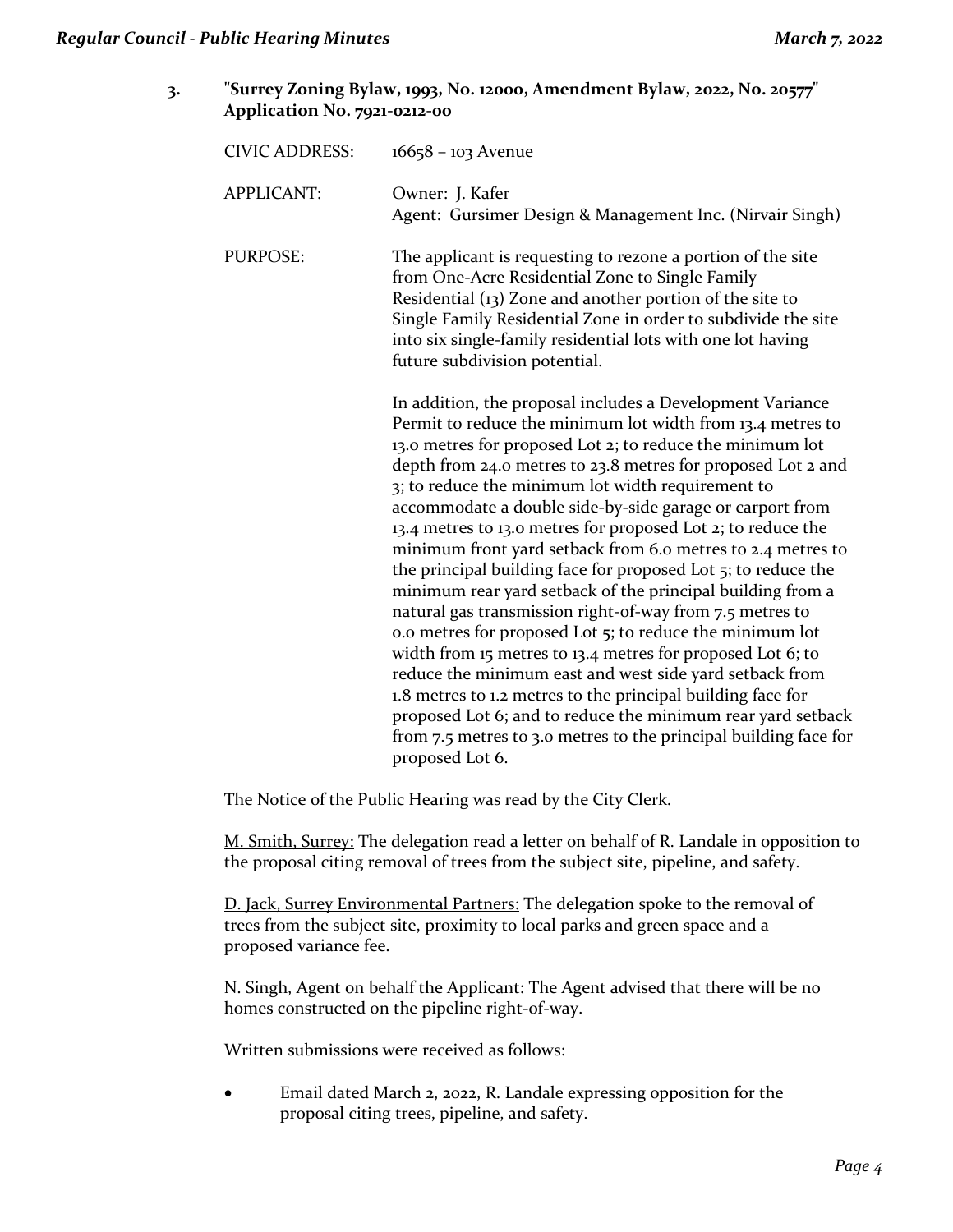| 3. |                       | "Surrey Zoning Bylaw, 1993, No. 12000, Amendment Bylaw, 2022, No. 20577"<br>Application No. 7921-0212-00                                                                                                                                                                                                                                                                                                                                                                                                                                                                                                                                                                                                                                                                                                                                                                                                                                                                                                                                                                                                  |  |  |
|----|-----------------------|-----------------------------------------------------------------------------------------------------------------------------------------------------------------------------------------------------------------------------------------------------------------------------------------------------------------------------------------------------------------------------------------------------------------------------------------------------------------------------------------------------------------------------------------------------------------------------------------------------------------------------------------------------------------------------------------------------------------------------------------------------------------------------------------------------------------------------------------------------------------------------------------------------------------------------------------------------------------------------------------------------------------------------------------------------------------------------------------------------------|--|--|
|    | <b>CIVIC ADDRESS:</b> | $16658 - 103$ Avenue                                                                                                                                                                                                                                                                                                                                                                                                                                                                                                                                                                                                                                                                                                                                                                                                                                                                                                                                                                                                                                                                                      |  |  |
|    | <b>APPLICANT:</b>     | Owner: J. Kafer<br>Agent: Gursimer Design & Management Inc. (Nirvair Singh)                                                                                                                                                                                                                                                                                                                                                                                                                                                                                                                                                                                                                                                                                                                                                                                                                                                                                                                                                                                                                               |  |  |
|    | <b>PURPOSE:</b>       | The applicant is requesting to rezone a portion of the site<br>from One-Acre Residential Zone to Single Family<br>Residential (13) Zone and another portion of the site to<br>Single Family Residential Zone in order to subdivide the site<br>into six single-family residential lots with one lot having<br>future subdivision potential.                                                                                                                                                                                                                                                                                                                                                                                                                                                                                                                                                                                                                                                                                                                                                               |  |  |
|    |                       | In addition, the proposal includes a Development Variance<br>Permit to reduce the minimum lot width from 13.4 metres to<br>13.0 metres for proposed Lot 2; to reduce the minimum lot<br>depth from 24.0 metres to 23.8 metres for proposed Lot 2 and<br>3; to reduce the minimum lot width requirement to<br>accommodate a double side-by-side garage or carport from<br>13.4 metres to 13.0 metres for proposed Lot 2; to reduce the<br>minimum front yard setback from 6.0 metres to 2.4 metres to<br>the principal building face for proposed Lot 5; to reduce the<br>minimum rear yard setback of the principal building from a<br>natural gas transmission right-of-way from 7.5 metres to<br>0.0 metres for proposed Lot 5; to reduce the minimum lot<br>width from 15 metres to 13.4 metres for proposed Lot 6; to<br>reduce the minimum east and west side yard setback from<br>1.8 metres to 1.2 metres to the principal building face for<br>proposed Lot 6; and to reduce the minimum rear yard setback<br>from 7.5 metres to 3.0 metres to the principal building face for<br>proposed Lot 6. |  |  |

The Notice of the Public Hearing was read by the City Clerk.

M. Smith, Surrey: The delegation read a letter on behalf of R. Landale in opposition to the proposal citing removal of trees from the subject site, pipeline, and safety.

D. Jack, Surrey Environmental Partners: The delegation spoke to the removal of trees from the subject site, proximity to local parks and green space and a proposed variance fee.

N. Singh, Agent on behalf the Applicant: The Agent advised that there will be no homes constructed on the pipeline right-of-way.

Written submissions were received as follows:

• Email dated March 2, 2022, R. Landale expressing opposition for the proposal citing trees, pipeline, and safety.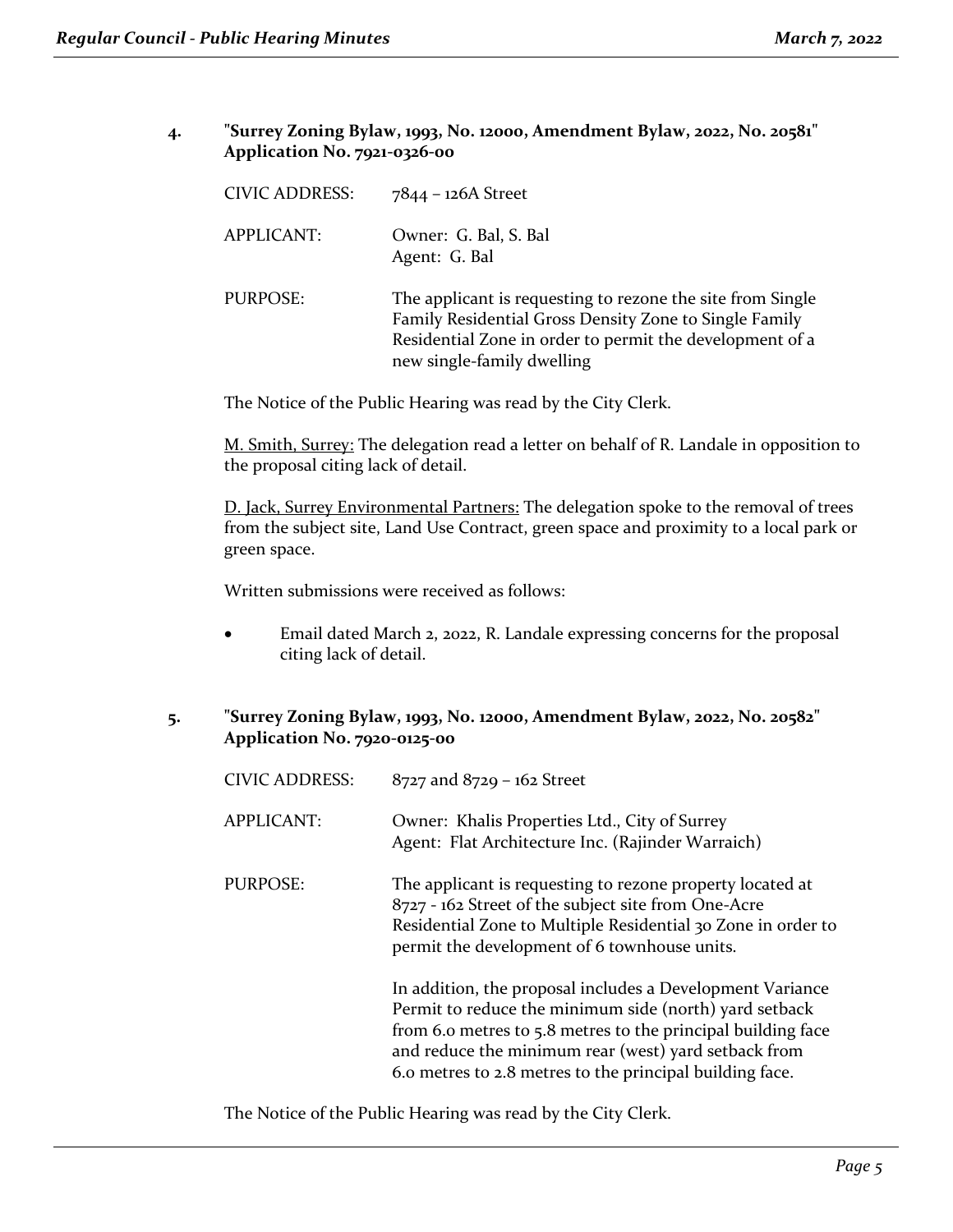**4. "Surrey Zoning Bylaw, 1993, No. 12000, Amendment Bylaw, 2022, No. 20581" Application No. 7921-0326-00**

| <b>CIVIC ADDRESS:</b> | $7844 - 126A$ Street                                                                                                                                                                                           |
|-----------------------|----------------------------------------------------------------------------------------------------------------------------------------------------------------------------------------------------------------|
| <b>APPLICANT:</b>     | Owner: G. Bal, S. Bal<br>Agent: G. Bal                                                                                                                                                                         |
| PURPOSE:              | The applicant is requesting to rezone the site from Single<br>Family Residential Gross Density Zone to Single Family<br>Residential Zone in order to permit the development of a<br>new single-family dwelling |

The Notice of the Public Hearing was read by the City Clerk.

M. Smith, Surrey: The delegation read a letter on behalf of R. Landale in opposition to the proposal citing lack of detail.

D. Jack, Surrey Environmental Partners: The delegation spoke to the removal of trees from the subject site, Land Use Contract, green space and proximity to a local park or green space.

Written submissions were received as follows:

- Email dated March 2, 2022, R. Landale expressing concerns for the proposal citing lack of detail.
- **5. "Surrey Zoning Bylaw, 1993, No. 12000, Amendment Bylaw, 2022, No. 20582" Application No. 7920-0125-00**

| <b>CIVIC ADDRESS:</b> | $8727$ and $8729 - 162$ Street                                                                                                                                                                                                                                                                          |
|-----------------------|---------------------------------------------------------------------------------------------------------------------------------------------------------------------------------------------------------------------------------------------------------------------------------------------------------|
| <b>APPLICANT:</b>     | Owner: Khalis Properties Ltd., City of Surrey<br>Agent: Flat Architecture Inc. (Rajinder Warraich)                                                                                                                                                                                                      |
| <b>PURPOSE:</b>       | The applicant is requesting to rezone property located at<br>8727 - 162 Street of the subject site from One-Acre<br>Residential Zone to Multiple Residential 30 Zone in order to<br>permit the development of 6 townhouse units.                                                                        |
|                       | In addition, the proposal includes a Development Variance<br>Permit to reduce the minimum side (north) yard setback<br>from 6.0 metres to 5.8 metres to the principal building face<br>and reduce the minimum rear (west) yard setback from<br>6.0 metres to 2.8 metres to the principal building face. |

The Notice of the Public Hearing was read by the City Clerk.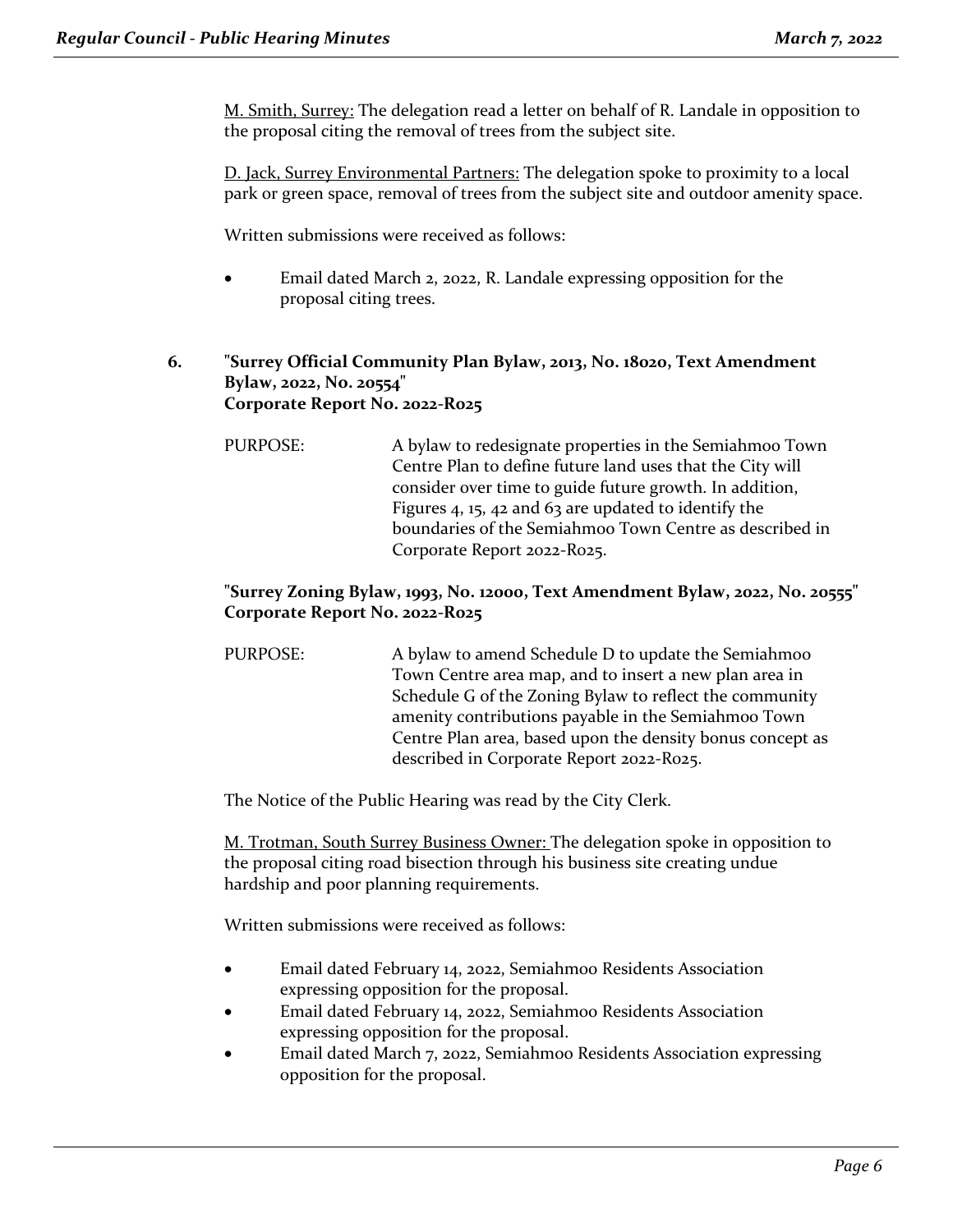M. Smith, Surrey: The delegation read a letter on behalf of R. Landale in opposition to the proposal citing the removal of trees from the subject site.

D. Jack, Surrey Environmental Partners: The delegation spoke to proximity to a local park or green space, removal of trees from the subject site and outdoor amenity space.

Written submissions were received as follows:

• Email dated March 2, 2022, R. Landale expressing opposition for the proposal citing trees.

### **6. "Surrey Official Community Plan Bylaw, 2013, No. 18020, Text Amendment Bylaw, 2022, No. 20554" Corporate Report No. 2022-R025**

PURPOSE: A bylaw to redesignate properties in the Semiahmoo Town Centre Plan to define future land uses that the City will consider over time to guide future growth. In addition, Figures 4, 15, 42 and 63 are updated to identify the boundaries of the Semiahmoo Town Centre as described in Corporate Report 2022-R025.

## **"Surrey Zoning Bylaw, 1993, No. 12000, Text Amendment Bylaw, 2022, No. 20555" Corporate Report No. 2022-R025**

PURPOSE: A bylaw to amend Schedule D to update the Semiahmoo Town Centre area map, and to insert a new plan area in Schedule G of the Zoning Bylaw to reflect the community amenity contributions payable in the Semiahmoo Town Centre Plan area, based upon the density bonus concept as described in Corporate Report 2022-R025.

The Notice of the Public Hearing was read by the City Clerk.

M. Trotman, South Surrey Business Owner: The delegation spoke in opposition to the proposal citing road bisection through his business site creating undue hardship and poor planning requirements.

Written submissions were received as follows:

- Email dated February 14, 2022, Semiahmoo Residents Association expressing opposition for the proposal.
- Email dated February 14, 2022, Semiahmoo Residents Association expressing opposition for the proposal.
- Email dated March 7, 2022, Semiahmoo Residents Association expressing opposition for the proposal.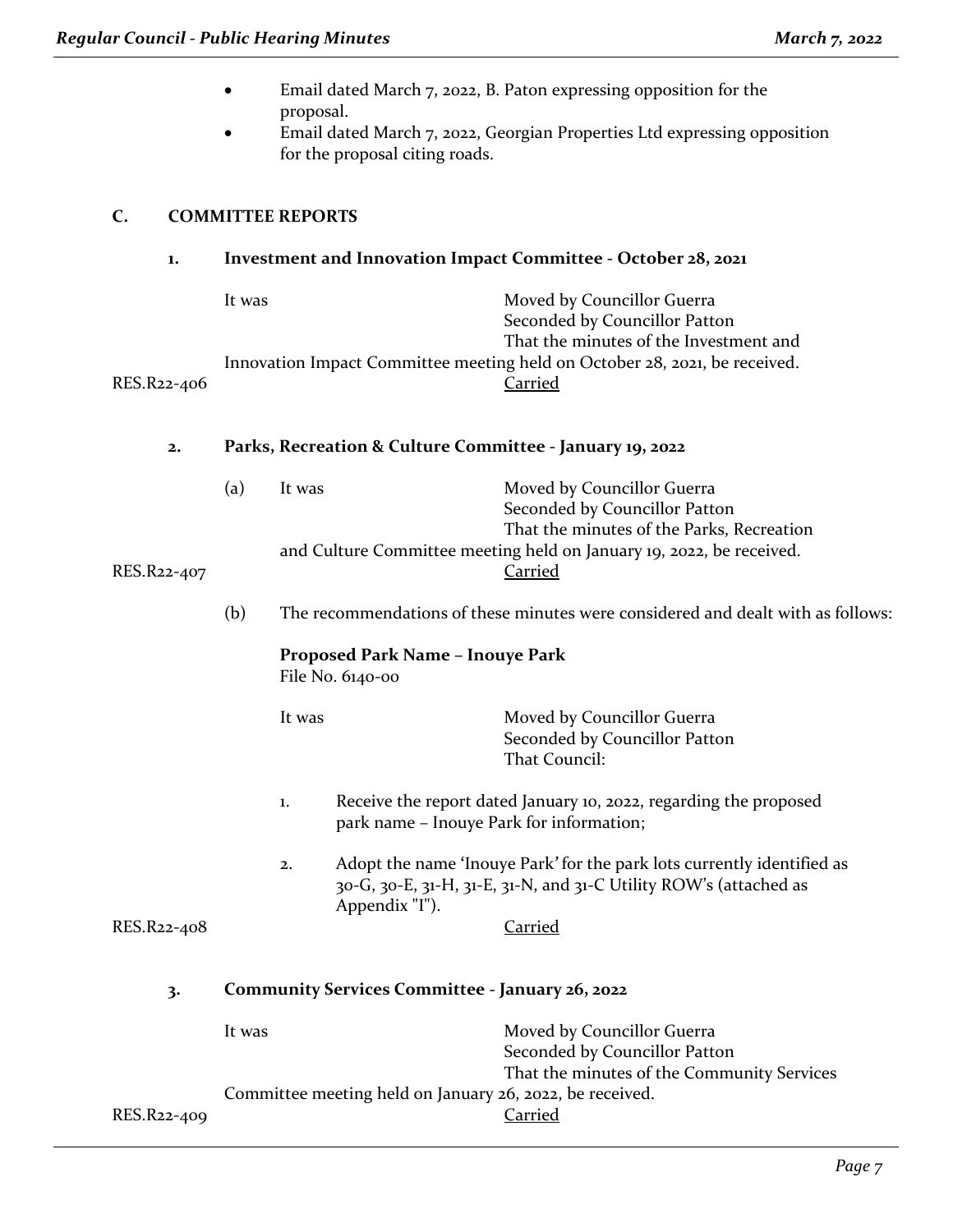|             |        | proposal.                                                                       | for the proposal citing roads.   | Email dated March 7, 2022, B. Paton expressing opposition for the<br>Email dated March 7, 2022, Georgian Properties Ltd expressing opposition                                       |
|-------------|--------|---------------------------------------------------------------------------------|----------------------------------|-------------------------------------------------------------------------------------------------------------------------------------------------------------------------------------|
| C.          |        | <b>COMMITTEE REPORTS</b>                                                        |                                  |                                                                                                                                                                                     |
| 1.          |        |                                                                                 |                                  | Investment and Innovation Impact Committee - October 28, 2021                                                                                                                       |
|             | It was |                                                                                 |                                  | Moved by Councillor Guerra<br>Seconded by Councillor Patton<br>That the minutes of the Investment and<br>Innovation Impact Committee meeting held on October 28, 2021, be received. |
| RES.R22-406 |        |                                                                                 |                                  | Carried                                                                                                                                                                             |
| 2.          |        |                                                                                 |                                  | Parks, Recreation & Culture Committee - January 19, 2022                                                                                                                            |
|             | (a)    | It was                                                                          |                                  | Moved by Councillor Guerra<br>Seconded by Councillor Patton                                                                                                                         |
| RES.R22-407 |        |                                                                                 |                                  | That the minutes of the Parks, Recreation<br>and Culture Committee meeting held on January 19, 2022, be received.<br><b>Carried</b>                                                 |
|             | (b)    | The recommendations of these minutes were considered and dealt with as follows: |                                  |                                                                                                                                                                                     |
|             |        | File No. 6140-00                                                                | Proposed Park Name - Inouye Park |                                                                                                                                                                                     |
|             |        | It was                                                                          |                                  | Moved by Councillor Guerra<br>Seconded by Councillor Patton<br>That Council:                                                                                                        |
|             |        | 1.                                                                              |                                  | Receive the report dated January 10, 2022, regarding the proposed<br>park name - Inouye Park for information;                                                                       |
|             |        | 2.                                                                              | Appendix "I").                   | Adopt the name 'Inouye Park' for the park lots currently identified as<br>30-G, 30-E, 31-H, 31-E, 31-N, and 31-C Utility ROW's (attached as                                         |
| RES.R22-408 |        |                                                                                 |                                  | <b>Carried</b>                                                                                                                                                                      |
| 3.          |        |                                                                                 |                                  | <b>Community Services Committee - January 26, 2022</b>                                                                                                                              |
|             | It was |                                                                                 |                                  | Moved by Councillor Guerra<br>Seconded by Councillor Patton                                                                                                                         |
| RES.R22-409 |        |                                                                                 |                                  | That the minutes of the Community Services<br>Committee meeting held on January 26, 2022, be received.<br>Carried                                                                   |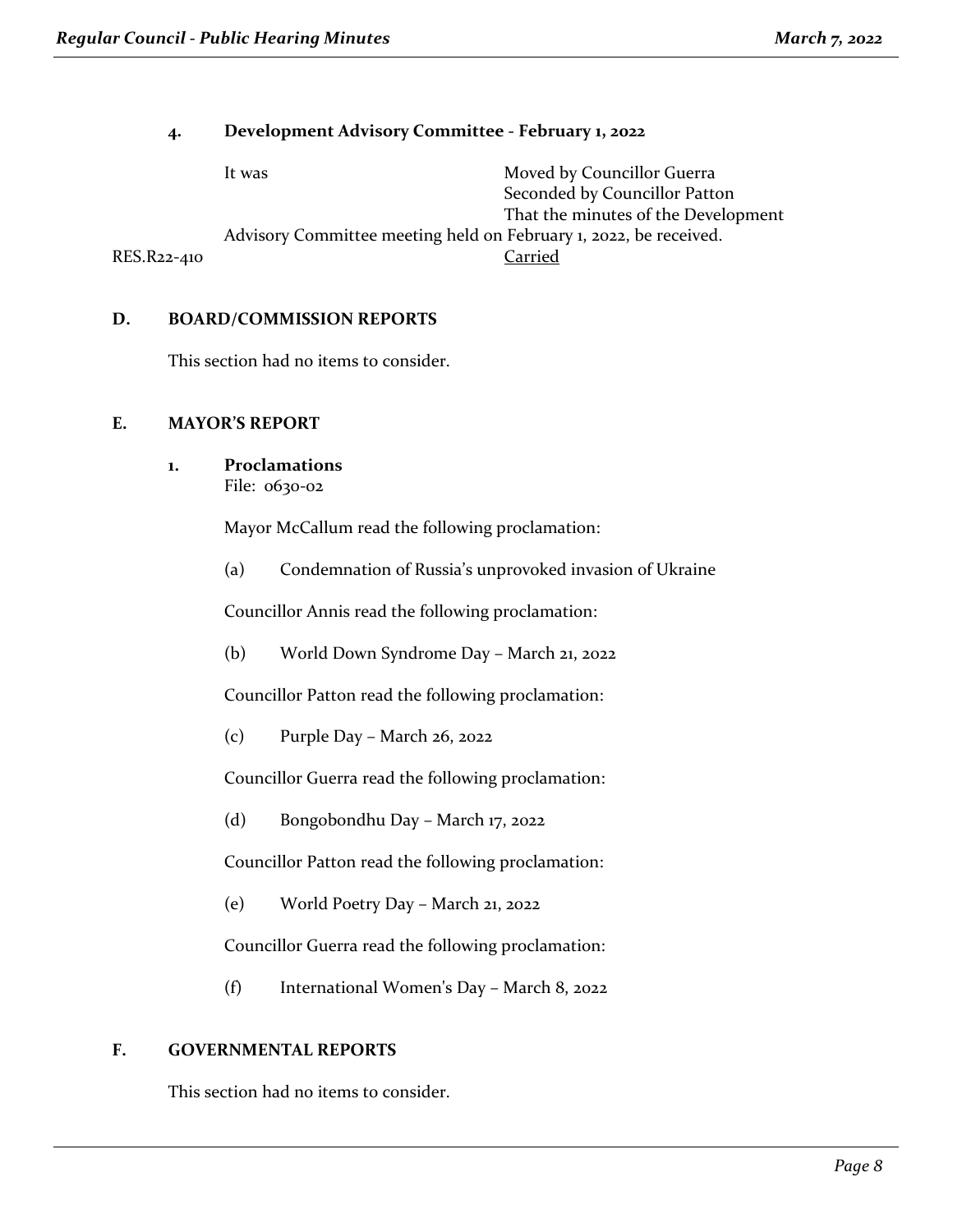### **4. Development Advisory Committee - February 1, 2022**

|             | It was                                                            | Moved by Councillor Guerra          |
|-------------|-------------------------------------------------------------------|-------------------------------------|
|             |                                                                   | Seconded by Councillor Patton       |
|             |                                                                   | That the minutes of the Development |
|             | Advisory Committee meeting held on February 1, 2022, be received. |                                     |
| RES.R22-410 |                                                                   | Carried                             |

### **D. BOARD/COMMISSION REPORTS**

This section had no items to consider.

### **E. MAYOR'S REPORT**

**1. Proclamations** File: 0630-02

Mayor McCallum read the following proclamation:

(a) Condemnation of Russia's unprovoked invasion of Ukraine

Councillor Annis read the following proclamation:

(b) World Down Syndrome Day – March 21, 2022

Councillor Patton read the following proclamation:

(c) Purple Day – March 26, 2022

Councillor Guerra read the following proclamation:

(d) Bongobondhu Day – March 17, 2022

Councillor Patton read the following proclamation:

(e) World Poetry Day – March 21, 2022

Councillor Guerra read the following proclamation:

(f) International Women's Day – March 8, 2022

### **F. GOVERNMENTAL REPORTS**

This section had no items to consider.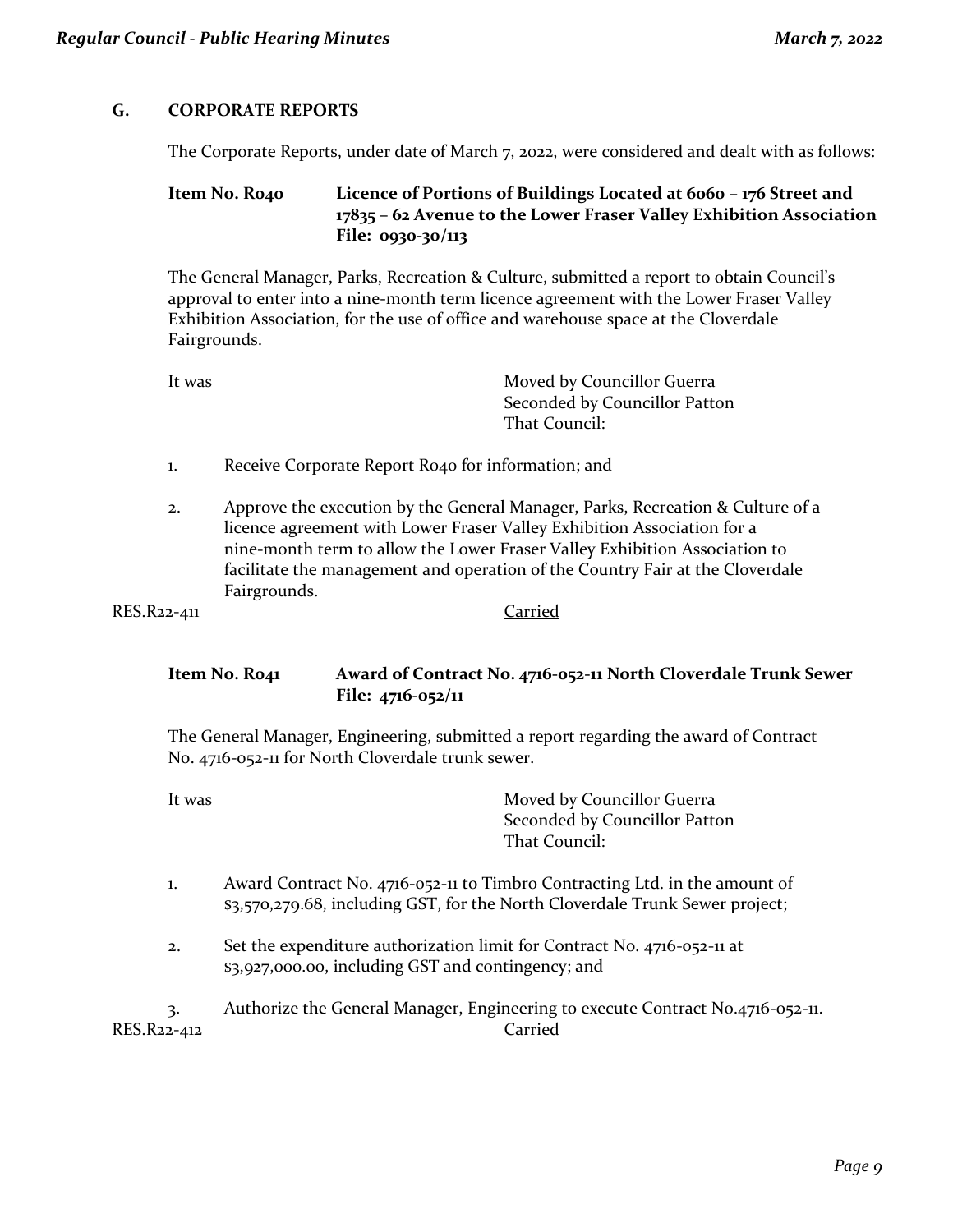### **G. CORPORATE REPORTS**

The Corporate Reports, under date of March 7, 2022, were considered and dealt with as follows:

### **Item No. R040 Licence of Portions of Buildings Located at 6060 – 176 Street and 17835 – 62 Avenue to the Lower Fraser Valley Exhibition Association File: 0930-30/113**

The General Manager, Parks, Recreation & Culture, submitted a report to obtain Council's approval to enter into a nine-month term licence agreement with the Lower Fraser Valley Exhibition Association, for the use of office and warehouse space at the Cloverdale Fairgrounds.

It was **Moved by Councillor Guerra** Seconded by Councillor Patton That Council:

- 1. Receive Corporate Report R040 for information; and
- 2. Approve the execution by the General Manager, Parks, Recreation & Culture of a licence agreement with Lower Fraser Valley Exhibition Association for a nine-month term to allow the Lower Fraser Valley Exhibition Association to facilitate the management and operation of the Country Fair at the Cloverdale Fairgrounds.

```
RES.R22-411 Carried
```
### **Item No. R041 Award of Contract No. 4716-052-11 North Cloverdale Trunk Sewer File: 4716-052/11**

The General Manager, Engineering, submitted a report regarding the award of Contract No. 4716-052-11 for North Cloverdale trunk sewer.

| lt was | Moved by Councillor Guerra                                             |
|--------|------------------------------------------------------------------------|
|        | Seconded by Councillor Patton                                          |
|        | That Council:                                                          |
|        | Award Contract No. $4716-052-11$ to Timbro Contracting I td. in the am |

- rd Contract No. 4716-052-11 to Timbro Contracting Ltd. in the amount of \$3,570,279.68, including GST, for the North Cloverdale Trunk Sewer project;
- 2. Set the expenditure authorization limit for Contract No. 4716-052-11 at \$3,927,000.00, including GST and contingency; and

3. Authorize the General Manager, Engineering to execute Contract No.4716-052-11. RES.R22-412 Carried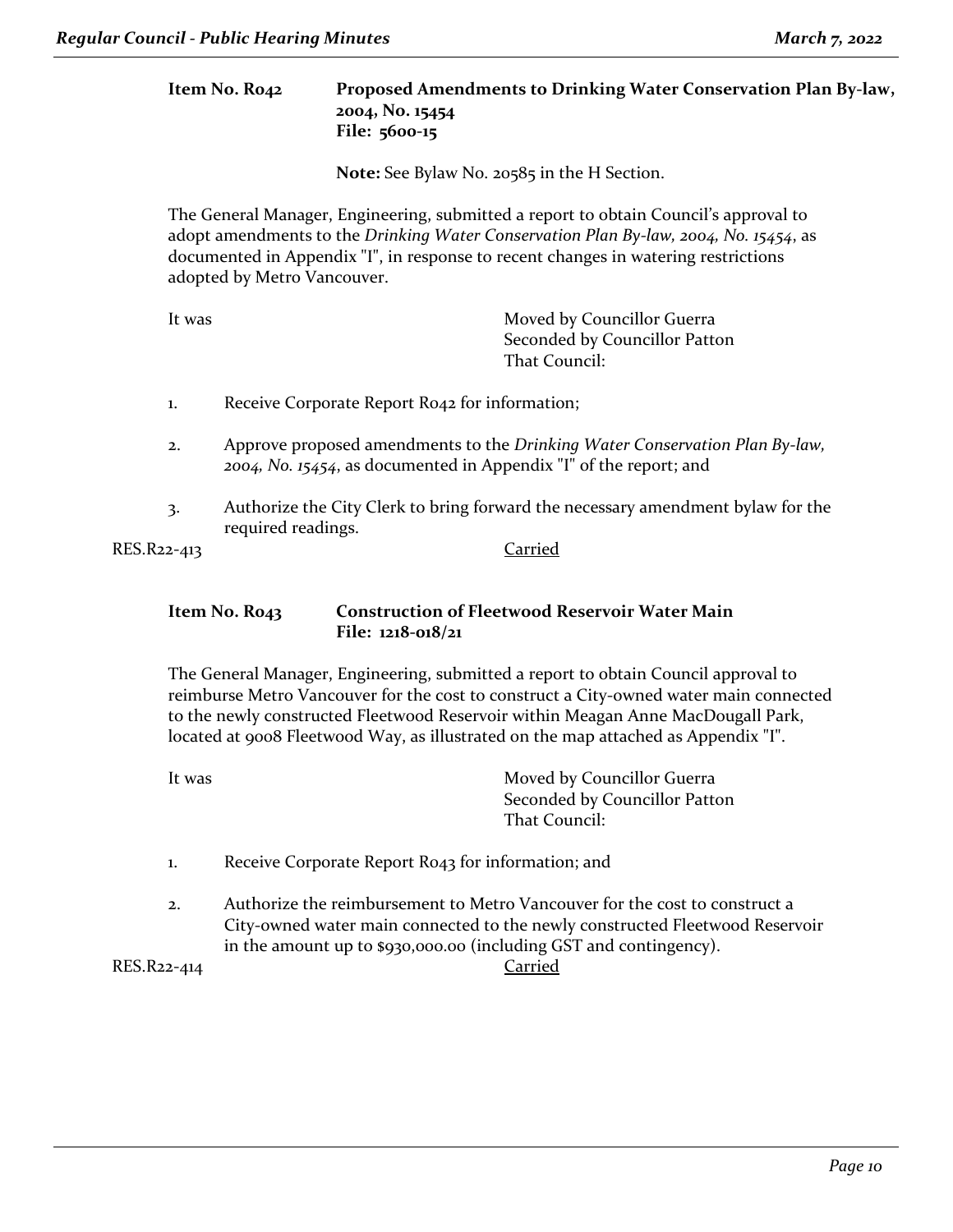**Item No. R042 Proposed Amendments to Drinking Water Conservation Plan By-law, 2004, No. 15454 File: 5600-15**

**Note:** See Bylaw No. 20585 in the H Section.

The General Manager, Engineering, submitted a report to obtain Council's approval to adopt amendments to the *Drinking Water Conservation Plan By-law, 2004, No. 15454*, as documented in Appendix "I", in response to recent changes in watering restrictions adopted by Metro Vancouver.

It was **Moved by Councillor Guerra** Seconded by Councillor Patton That Council:

- 1. Receive Corporate Report R042 for information;
- 2. Approve proposed amendments to the *Drinking Water Conservation Plan By-law, 2004, No. 15454*, as documented in Appendix "I" of the report; and
- 3. Authorize the City Clerk to bring forward the necessary amendment bylaw for the required readings.

RES.R22-413 Carried

### **Item No. R043 Construction of Fleetwood Reservoir Water Main File: 1218-018/21**

The General Manager, Engineering, submitted a report to obtain Council approval to reimburse Metro Vancouver for the cost to construct a City-owned water main connected to the newly constructed Fleetwood Reservoir within Meagan Anne MacDougall Park, located at 9008 Fleetwood Way, as illustrated on the map attached as Appendix "I".

| It was | Moved by Councillor Guerra    |
|--------|-------------------------------|
|        | Seconded by Councillor Patton |
|        | That Council:                 |
|        |                               |

- 1. Receive Corporate Report R043 for information; and
- 2. Authorize the reimbursement to Metro Vancouver for the cost to construct a City-owned water main connected to the newly constructed Fleetwood Reservoir in the amount up to \$930,000.00 (including GST and contingency).

RES.R22-414 Carried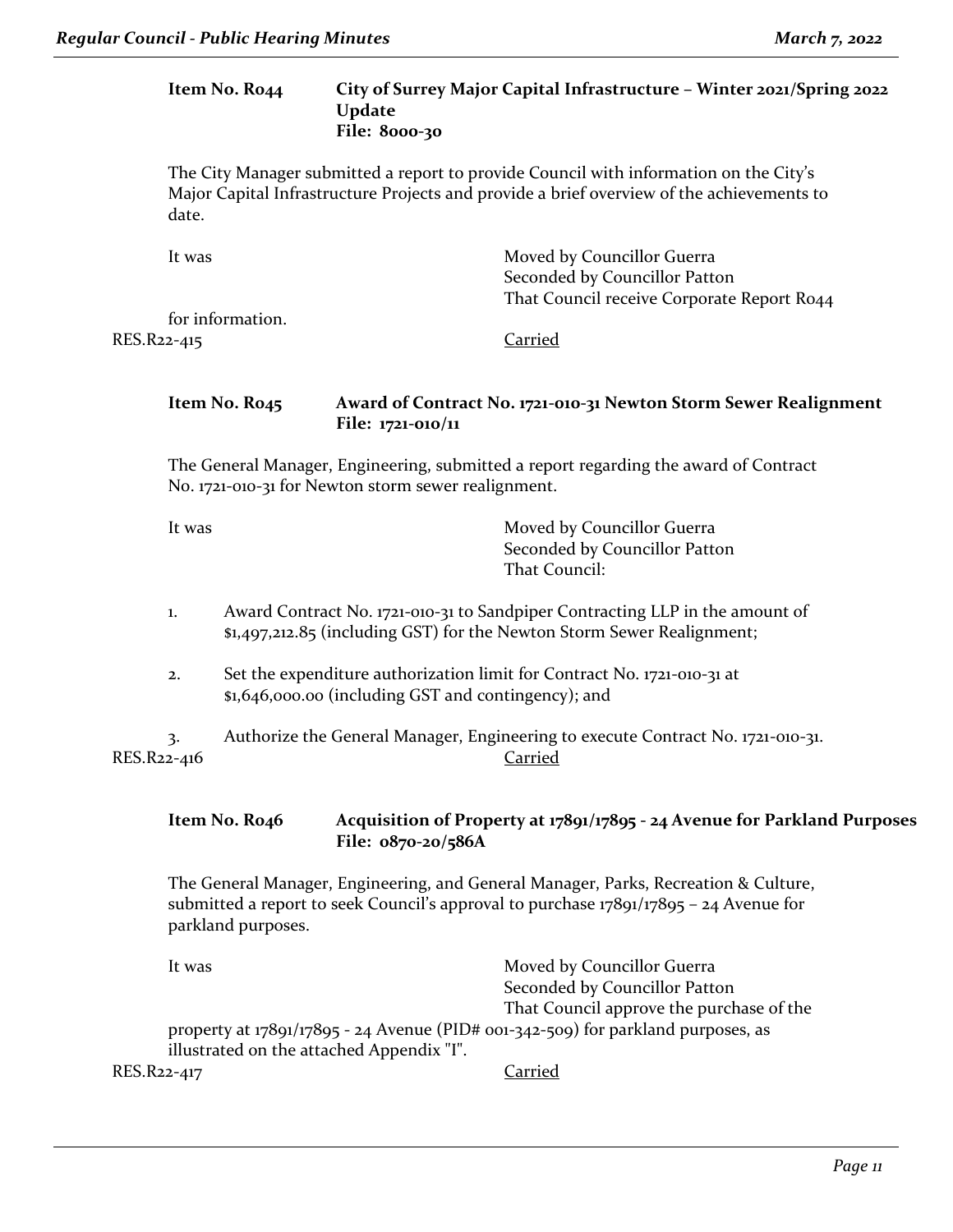### **Item No. R044 City of Surrey Major Capital Infrastructure – Winter 2021/Spring 2022 Update File: 8000-30**

The City Manager submitted a report to provide Council with information on the City's Major Capital Infrastructure Projects and provide a brief overview of the achievements to date.

| It was           | Moved by Councillor Guerra                 |
|------------------|--------------------------------------------|
|                  | Seconded by Councillor Patton              |
|                  | That Council receive Corporate Report Ro44 |
| for information. |                                            |
| RES.R22-415      | Carried                                    |

### **Item No. R045 Award of Contract No. 1721-010-31 Newton Storm Sewer Realignment File: 1721-010/11**

The General Manager, Engineering, submitted a report regarding the award of Contract No. 1721-010-31 for Newton storm sewer realignment.

It was Moved by Councillor Guerra Seconded by Councillor Patton That Council:

- 1. Award Contract No. 1721-010-31 to Sandpiper Contracting LLP in the amount of \$1,497,212.85 (including GST) for the Newton Storm Sewer Realignment;
- 2. Set the expenditure authorization limit for Contract No. 1721-010-31 at \$1,646,000.00 (including GST and contingency); and

3. Authorize the General Manager, Engineering to execute Contract No. 1721-010-31. RES.R22-416 Carried

**Item No. R046 Acquisition of Property at 17891/17895 - 24 Avenue for Parkland Purposes File: 0870-20/586A**

The General Manager, Engineering, and General Manager, Parks, Recreation & Culture, submitted a report to seek Council's approval to purchase 17891/17895 – 24 Avenue for parkland purposes.

| It was                                    | Moved by Councillor Guerra                                                         |
|-------------------------------------------|------------------------------------------------------------------------------------|
|                                           | Seconded by Councillor Patton                                                      |
|                                           | That Council approve the purchase of the                                           |
|                                           | property at $17891/17895 - 24$ Avenue (PID# 001-342-509) for parkland purposes, as |
| illustrated on the attached Appendix "I". |                                                                                    |
| RES.R22-417                               | Carried                                                                            |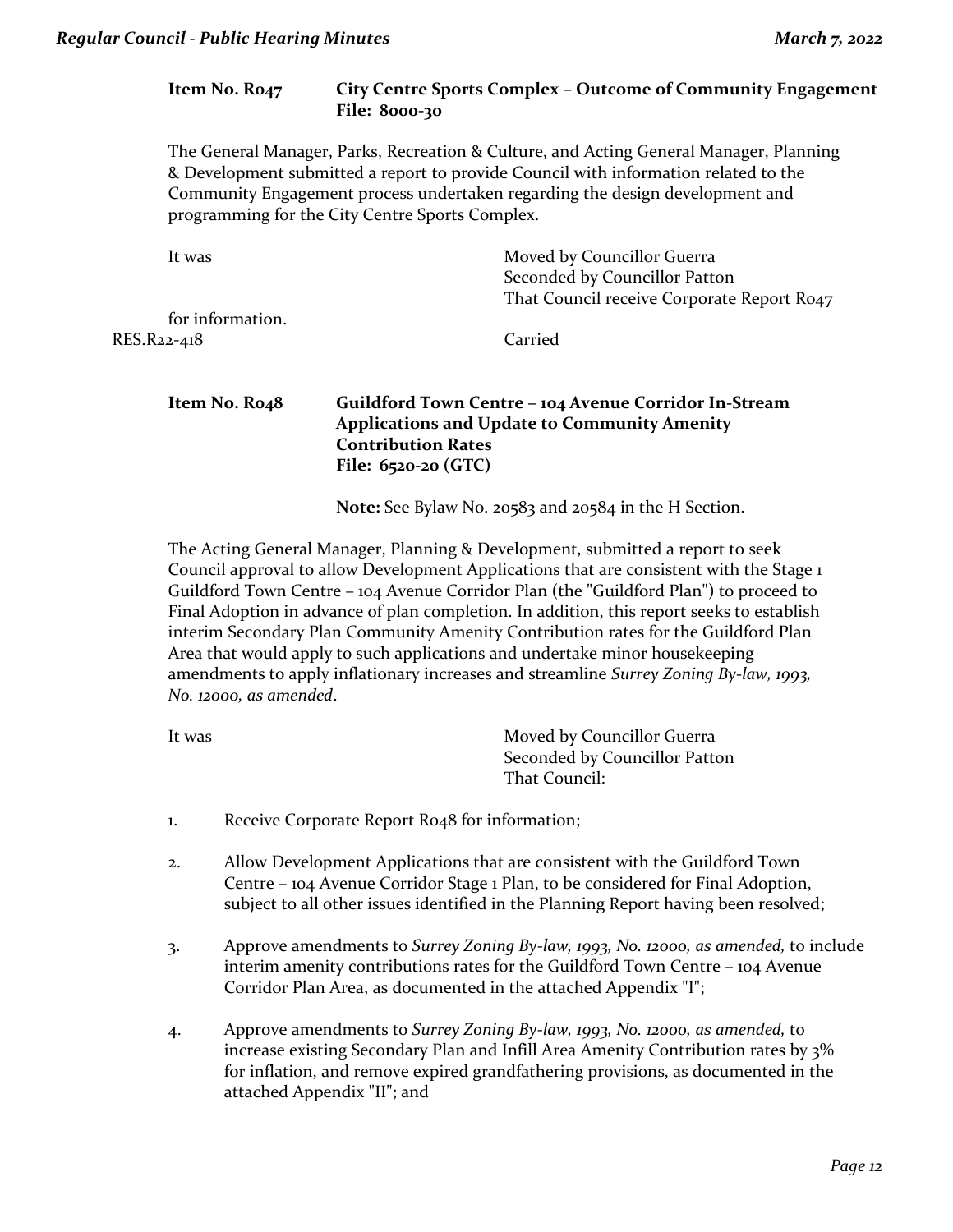|             | Item No. Ro <sub>47</sub>  | City Centre Sports Complex - Outcome of Community Engagement<br><b>File: 8000-30</b>                                                                                                                                                                                                                             |
|-------------|----------------------------|------------------------------------------------------------------------------------------------------------------------------------------------------------------------------------------------------------------------------------------------------------------------------------------------------------------|
|             |                            | The General Manager, Parks, Recreation & Culture, and Acting General Manager, Planning<br>& Development submitted a report to provide Council with information related to the<br>Community Engagement process undertaken regarding the design development and<br>programming for the City Centre Sports Complex. |
|             | It was                     | Moved by Councillor Guerra<br>Seconded by Councillor Patton<br>That Council receive Corporate Report Ro47                                                                                                                                                                                                        |
| RES.R22-418 | for information.           | Carried                                                                                                                                                                                                                                                                                                          |
|             | Item No. Ro <sub>4</sub> 8 | Guildford Town Centre - 104 Avenue Corridor In-Stream<br><b>Applications and Update to Community Amenity</b><br><b>Contribution Rates</b><br>File: $6520-20$ (GTC)                                                                                                                                               |
|             |                            | Note: See Bylaw No. 20583 and 20584 in the H Section.                                                                                                                                                                                                                                                            |

The Acting General Manager, Planning & Development, submitted a report to seek Council approval to allow Development Applications that are consistent with the Stage 1 Guildford Town Centre – 104 Avenue Corridor Plan (the "Guildford Plan") to proceed to Final Adoption in advance of plan completion. In addition, this report seeks to establish interim Secondary Plan Community Amenity Contribution rates for the Guildford Plan Area that would apply to such applications and undertake minor housekeeping amendments to apply inflationary increases and streamline *Surrey Zoning By-law, 1993, No. 12000, as amended*.

| It was | Moved by Councillor Guerra    |
|--------|-------------------------------|
|        | Seconded by Councillor Patton |
|        | That Council:                 |
|        |                               |

- 1. Receive Corporate Report R048 for information;
- 2. Allow Development Applications that are consistent with the Guildford Town Centre – 104 Avenue Corridor Stage 1 Plan, to be considered for Final Adoption, subject to all other issues identified in the Planning Report having been resolved;
- 3. Approve amendments to *Surrey Zoning By-law, 1993, No. 12000, as amended,* to include interim amenity contributions rates for the Guildford Town Centre – 104 Avenue Corridor Plan Area, as documented in the attached Appendix "I";
- 4. Approve amendments to *Surrey Zoning By-law, 1993, No. 12000, as amended,* to increase existing Secondary Plan and Infill Area Amenity Contribution rates by 3% for inflation, and remove expired grandfathering provisions, as documented in the attached Appendix "II"; and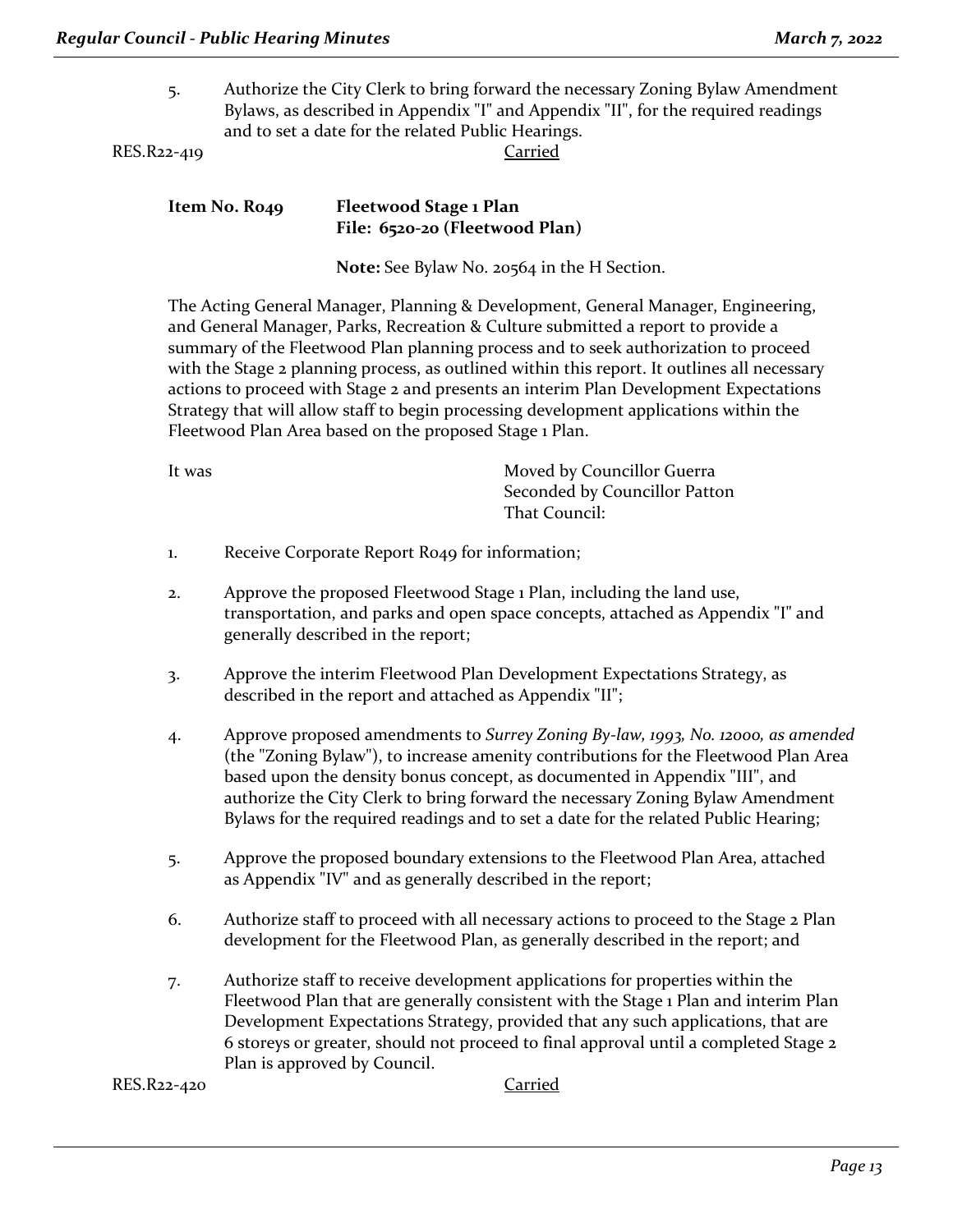5. Authorize the City Clerk to bring forward the necessary Zoning Bylaw Amendment Bylaws, as described in Appendix "I" and Appendix "II", for the required readings and to set a date for the related Public Hearings.

RES.R22-419 Carried

| Item No. Ro49 | Fleetwood Stage 1 Plan         |
|---------------|--------------------------------|
|               | File: 6520-20 (Fleetwood Plan) |

**Note:** See Bylaw No. 20564 in the H Section.

The Acting General Manager, Planning & Development, General Manager, Engineering, and General Manager, Parks, Recreation & Culture submitted a report to provide a summary of the Fleetwood Plan planning process and to seek authorization to proceed with the Stage 2 planning process, as outlined within this report. It outlines all necessary actions to proceed with Stage 2 and presents an interim Plan Development Expectations Strategy that will allow staff to begin processing development applications within the Fleetwood Plan Area based on the proposed Stage 1 Plan.

| It was | Moved by Councillor Guerra    |
|--------|-------------------------------|
|        | Seconded by Councillor Patton |
|        | That Council:                 |
|        |                               |

- 1. Receive Corporate Report R049 for information;
- 2. Approve the proposed Fleetwood Stage 1 Plan, including the land use, transportation, and parks and open space concepts, attached as Appendix "I" and generally described in the report;
- 3. Approve the interim Fleetwood Plan Development Expectations Strategy, as described in the report and attached as Appendix "II";
- 4. Approve proposed amendments to *Surrey Zoning By-law, 1993, No. 12000, as amended*  (the "Zoning Bylaw"), to increase amenity contributions for the Fleetwood Plan Area based upon the density bonus concept, as documented in Appendix "III", and authorize the City Clerk to bring forward the necessary Zoning Bylaw Amendment Bylaws for the required readings and to set a date for the related Public Hearing;
- 5. Approve the proposed boundary extensions to the Fleetwood Plan Area, attached as Appendix "IV" and as generally described in the report;
- 6. Authorize staff to proceed with all necessary actions to proceed to the Stage 2 Plan development for the Fleetwood Plan, as generally described in the report; and
- 7. Authorize staff to receive development applications for properties within the Fleetwood Plan that are generally consistent with the Stage 1 Plan and interim Plan Development Expectations Strategy, provided that any such applications, that are 6 storeys or greater, should not proceed to final approval until a completed Stage 2 Plan is approved by Council.

RES.R22-420 Carried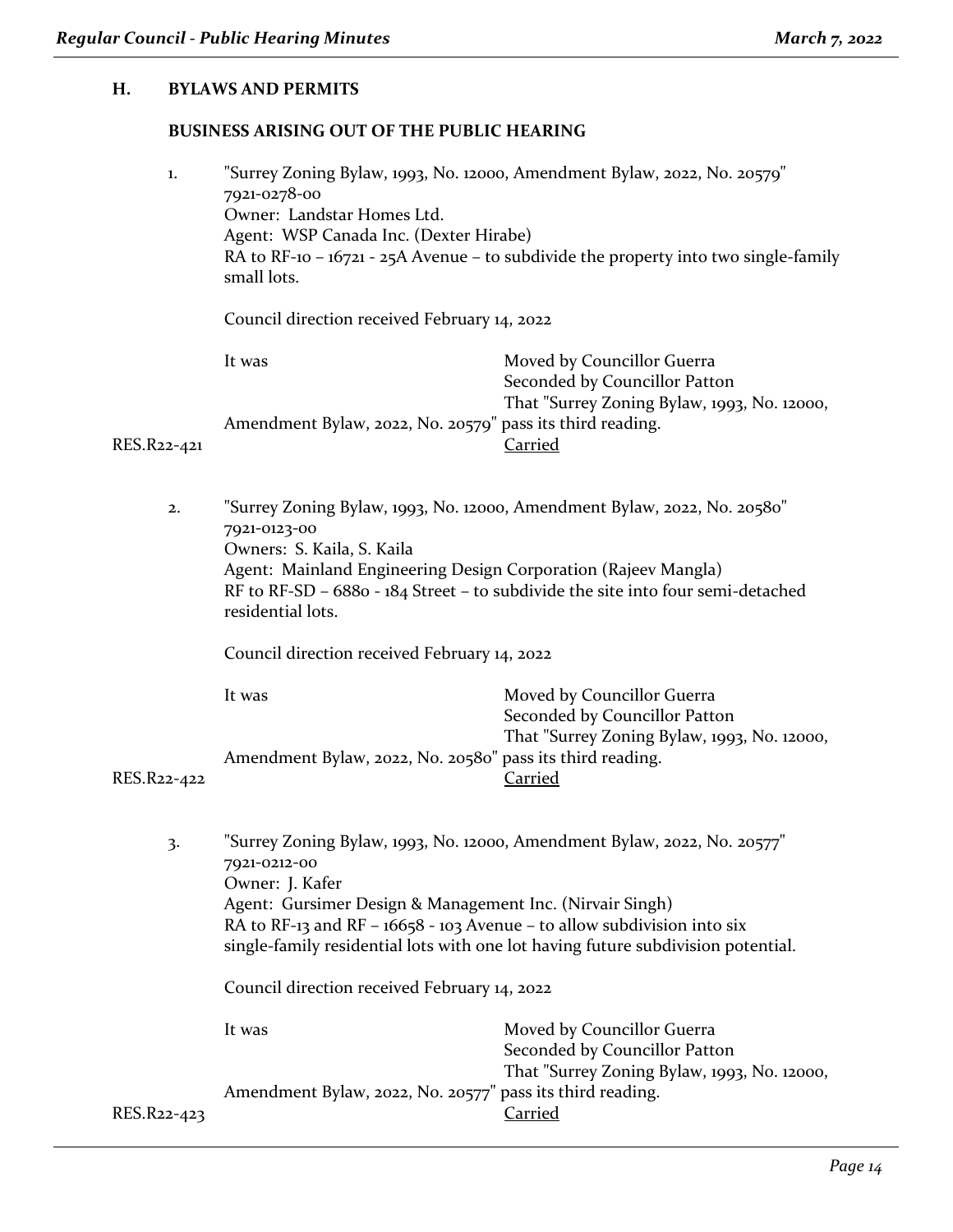### **H. BYLAWS AND PERMITS**

### **BUSINESS ARISING OUT OF THE PUBLIC HEARING**

| 1.          | "Surrey Zoning Bylaw, 1993, No. 12000, Amendment Bylaw, 2022, No. 20579"<br>7921-0278-00<br>Owner: Landstar Homes Ltd.<br>Agent: WSP Canada Inc. (Dexter Hirabe)<br>RA to RF-10 - $16721 - 25A$ Avenue - to subdivide the property into two single-family<br>small lots. |                                                                                                            |  |
|-------------|--------------------------------------------------------------------------------------------------------------------------------------------------------------------------------------------------------------------------------------------------------------------------|------------------------------------------------------------------------------------------------------------|--|
|             | Council direction received February 14, 2022                                                                                                                                                                                                                             |                                                                                                            |  |
| It was      |                                                                                                                                                                                                                                                                          | Moved by Councillor Guerra<br>Seconded by Councillor Patton<br>That "Surrey Zoning Bylaw, 1993, No. 12000, |  |
| RES.R22-421 | Amendment Bylaw, 2022, No. 20579" pass its third reading.                                                                                                                                                                                                                | Carried                                                                                                    |  |

2. "Surrey Zoning Bylaw, 1993, No. 12000, Amendment Bylaw, 2022, No. 20580" 7921-0123-00 Owners: S. Kaila, S. Kaila Agent: Mainland Engineering Design Corporation (Rajeev Mangla) RF to RF-SD – 6880 - 184 Street – to subdivide the site into four semi-detached residential lots.

Council direction received February 14, 2022

|              | lt was                                                    | Moved by Councillor Guerra                  |
|--------------|-----------------------------------------------------------|---------------------------------------------|
|              |                                                           | Seconded by Councillor Patton               |
|              |                                                           | That "Surrey Zoning Bylaw, 1993, No. 12000, |
|              | Amendment Bylaw, 2022, No. 20580" pass its third reading. |                                             |
| $\mathbf{2}$ |                                                           | Carried                                     |

RES.R22-422

3. "Surrey Zoning Bylaw, 1993, No. 12000, Amendment Bylaw, 2022, No. 20577" 7921-0212-00 Owner: J. Kafer Agent: Gursimer Design & Management Inc. (Nirvair Singh) RA to RF-13 and RF –  $16658 - 103$  Avenue – to allow subdivision into six single-family residential lots with one lot having future subdivision potential.

Council direction received February 14, 2022

|             | It was                                                    | Moved by Councillor Guerra                  |
|-------------|-----------------------------------------------------------|---------------------------------------------|
|             |                                                           | Seconded by Councillor Patton               |
|             |                                                           | That "Surrey Zoning Bylaw, 1993, No. 12000, |
|             | Amendment Bylaw, 2022, No. 20577" pass its third reading. |                                             |
| RES.R22-423 |                                                           | Carried                                     |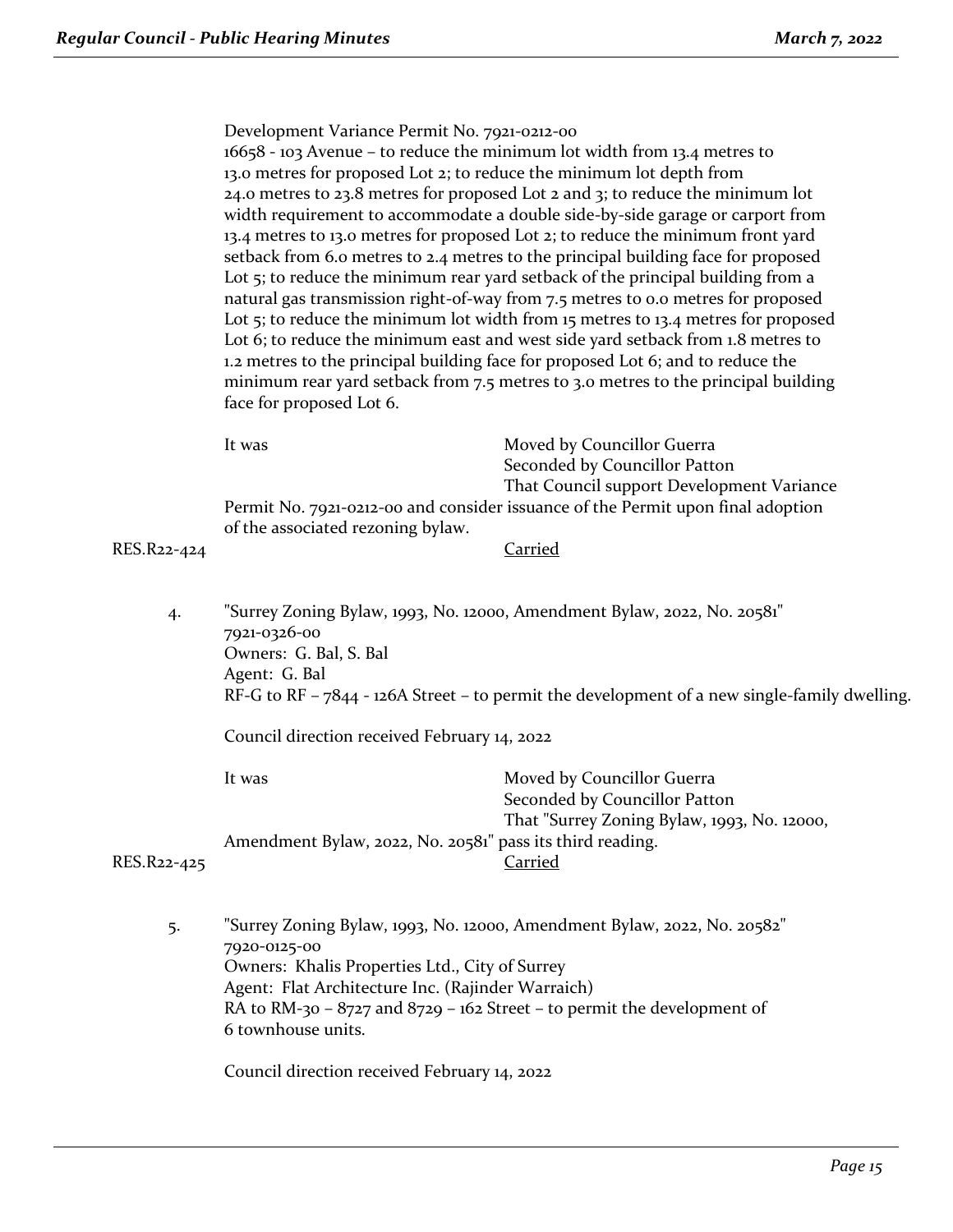|             | Development Variance Permit No. 7921-0212-00<br>face for proposed Lot 6. | 16658 - 103 Avenue - to reduce the minimum lot width from 13.4 metres to<br>13.0 metres for proposed Lot 2; to reduce the minimum lot depth from<br>24.0 metres to 23.8 metres for proposed Lot 2 and 3; to reduce the minimum lot<br>width requirement to accommodate a double side-by-side garage or carport from<br>13.4 metres to 13.0 metres for proposed Lot 2; to reduce the minimum front yard<br>setback from 6.0 metres to 2.4 metres to the principal building face for proposed<br>Lot 5; to reduce the minimum rear yard setback of the principal building from a<br>natural gas transmission right-of-way from 7.5 metres to 0.0 metres for proposed<br>Lot 5; to reduce the minimum lot width from 15 metres to 13.4 metres for proposed<br>Lot 6; to reduce the minimum east and west side yard setback from 1.8 metres to<br>1.2 metres to the principal building face for proposed Lot 6; and to reduce the<br>minimum rear yard setback from 7.5 metres to 3.0 metres to the principal building |  |
|-------------|--------------------------------------------------------------------------|--------------------------------------------------------------------------------------------------------------------------------------------------------------------------------------------------------------------------------------------------------------------------------------------------------------------------------------------------------------------------------------------------------------------------------------------------------------------------------------------------------------------------------------------------------------------------------------------------------------------------------------------------------------------------------------------------------------------------------------------------------------------------------------------------------------------------------------------------------------------------------------------------------------------------------------------------------------------------------------------------------------------|--|
|             | It was                                                                   | Moved by Councillor Guerra<br>Seconded by Councillor Patton<br>That Council support Development Variance                                                                                                                                                                                                                                                                                                                                                                                                                                                                                                                                                                                                                                                                                                                                                                                                                                                                                                           |  |
|             | of the associated rezoning bylaw.                                        | Permit No. 7921-0212-00 and consider issuance of the Permit upon final adoption                                                                                                                                                                                                                                                                                                                                                                                                                                                                                                                                                                                                                                                                                                                                                                                                                                                                                                                                    |  |
| RES.R22-424 |                                                                          | <b>Carried</b>                                                                                                                                                                                                                                                                                                                                                                                                                                                                                                                                                                                                                                                                                                                                                                                                                                                                                                                                                                                                     |  |
| 4.          | 7921-0326-00<br>Owners: G. Bal, S. Bal<br>Agent: G. Bal                  | "Surrey Zoning Bylaw, 1993, No. 12000, Amendment Bylaw, 2022, No. 20581"<br>RF-G to RF - 7844 - 126A Street - to permit the development of a new single-family dwelling.                                                                                                                                                                                                                                                                                                                                                                                                                                                                                                                                                                                                                                                                                                                                                                                                                                           |  |
|             | Council direction received February 14, 2022                             |                                                                                                                                                                                                                                                                                                                                                                                                                                                                                                                                                                                                                                                                                                                                                                                                                                                                                                                                                                                                                    |  |
|             | It was                                                                   | Moved by Councillor Guerra<br>Seconded by Councillor Patton<br>That "Surrey Zoning Bylaw, 1993, No. 12000,                                                                                                                                                                                                                                                                                                                                                                                                                                                                                                                                                                                                                                                                                                                                                                                                                                                                                                         |  |
| RES.R22-425 | Amendment Bylaw, 2022, No. 20581" pass its third reading.                | Carried                                                                                                                                                                                                                                                                                                                                                                                                                                                                                                                                                                                                                                                                                                                                                                                                                                                                                                                                                                                                            |  |
|             |                                                                          |                                                                                                                                                                                                                                                                                                                                                                                                                                                                                                                                                                                                                                                                                                                                                                                                                                                                                                                                                                                                                    |  |

5. "Surrey Zoning Bylaw, 1993, No. 12000, Amendment Bylaw, 2022, No. 20582" 7920-0125-00 Owners: Khalis Properties Ltd., City of Surrey Agent: Flat Architecture Inc. (Rajinder Warraich) RA to RM-30 – 8727 and 8729 – 162 Street – to permit the development of 6 townhouse units.

Council direction received February 14, 2022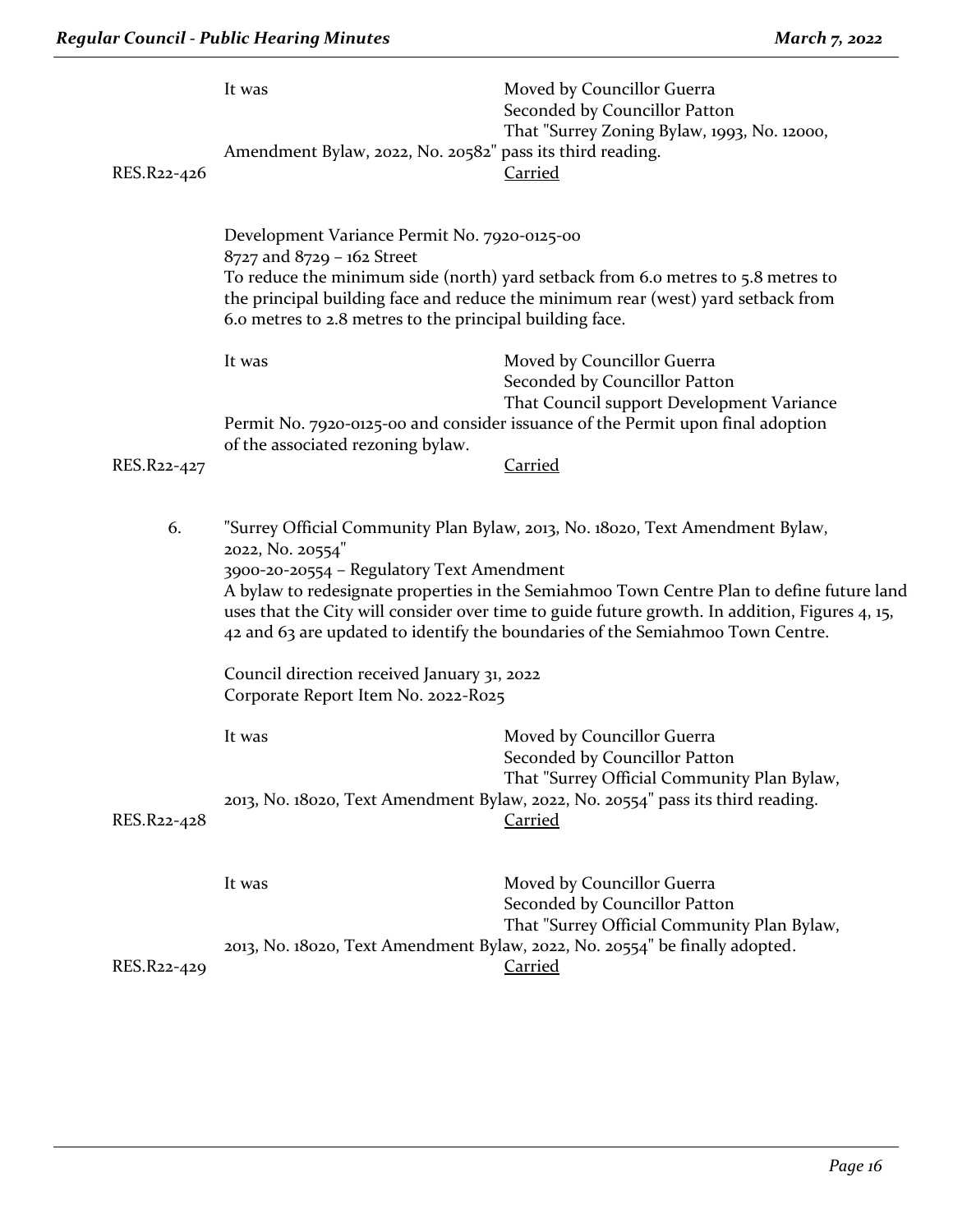| RES.R22-426 | It was<br>Amendment Bylaw, 2022, No. 20582" pass its third reading.                                                                    | Moved by Councillor Guerra<br>Seconded by Councillor Patton<br>That "Surrey Zoning Bylaw, 1993, No. 12000,<br><b>Carried</b>                                                                                                                                                                                                                                   |
|-------------|----------------------------------------------------------------------------------------------------------------------------------------|----------------------------------------------------------------------------------------------------------------------------------------------------------------------------------------------------------------------------------------------------------------------------------------------------------------------------------------------------------------|
|             | Development Variance Permit No. 7920-0125-00<br>8727 and 8729 - 162 Street<br>6.0 metres to 2.8 metres to the principal building face. | To reduce the minimum side (north) yard setback from 6.0 metres to 5.8 metres to<br>the principal building face and reduce the minimum rear (west) yard setback from                                                                                                                                                                                           |
|             | It was                                                                                                                                 | Moved by Councillor Guerra<br>Seconded by Councillor Patton                                                                                                                                                                                                                                                                                                    |
|             |                                                                                                                                        | That Council support Development Variance<br>Permit No. 7920-0125-00 and consider issuance of the Permit upon final adoption                                                                                                                                                                                                                                   |
| RES.R22-427 | of the associated rezoning bylaw.                                                                                                      | <b>Carried</b>                                                                                                                                                                                                                                                                                                                                                 |
| 6.          | 2022, No. 20554"<br>3900-20-20554 - Regulatory Text Amendment                                                                          | "Surrey Official Community Plan Bylaw, 2013, No. 18020, Text Amendment Bylaw,<br>A bylaw to redesignate properties in the Semiahmoo Town Centre Plan to define future land<br>uses that the City will consider over time to guide future growth. In addition, Figures 4, 15,<br>42 and 63 are updated to identify the boundaries of the Semiahmoo Town Centre. |
|             | Council direction received January 31, 2022<br>Corporate Report Item No. 2022-R025                                                     |                                                                                                                                                                                                                                                                                                                                                                |
|             | It was                                                                                                                                 | Moved by Councillor Guerra<br>Seconded by Councillor Patton<br>That "Surrey Official Community Plan Bylaw,                                                                                                                                                                                                                                                     |
| RES.R22-428 |                                                                                                                                        | 2013, No. 18020, Text Amendment Bylaw, 2022, No. 20554" pass its third reading.<br><b>Carried</b>                                                                                                                                                                                                                                                              |
|             | It was                                                                                                                                 | Moved by Councillor Guerra<br>Seconded by Councillor Patton<br>That "Surrey Official Community Plan Bylaw,                                                                                                                                                                                                                                                     |
| RES.R22-429 |                                                                                                                                        | 2013, No. 18020, Text Amendment Bylaw, 2022, No. 20554" be finally adopted.<br><b>Carried</b>                                                                                                                                                                                                                                                                  |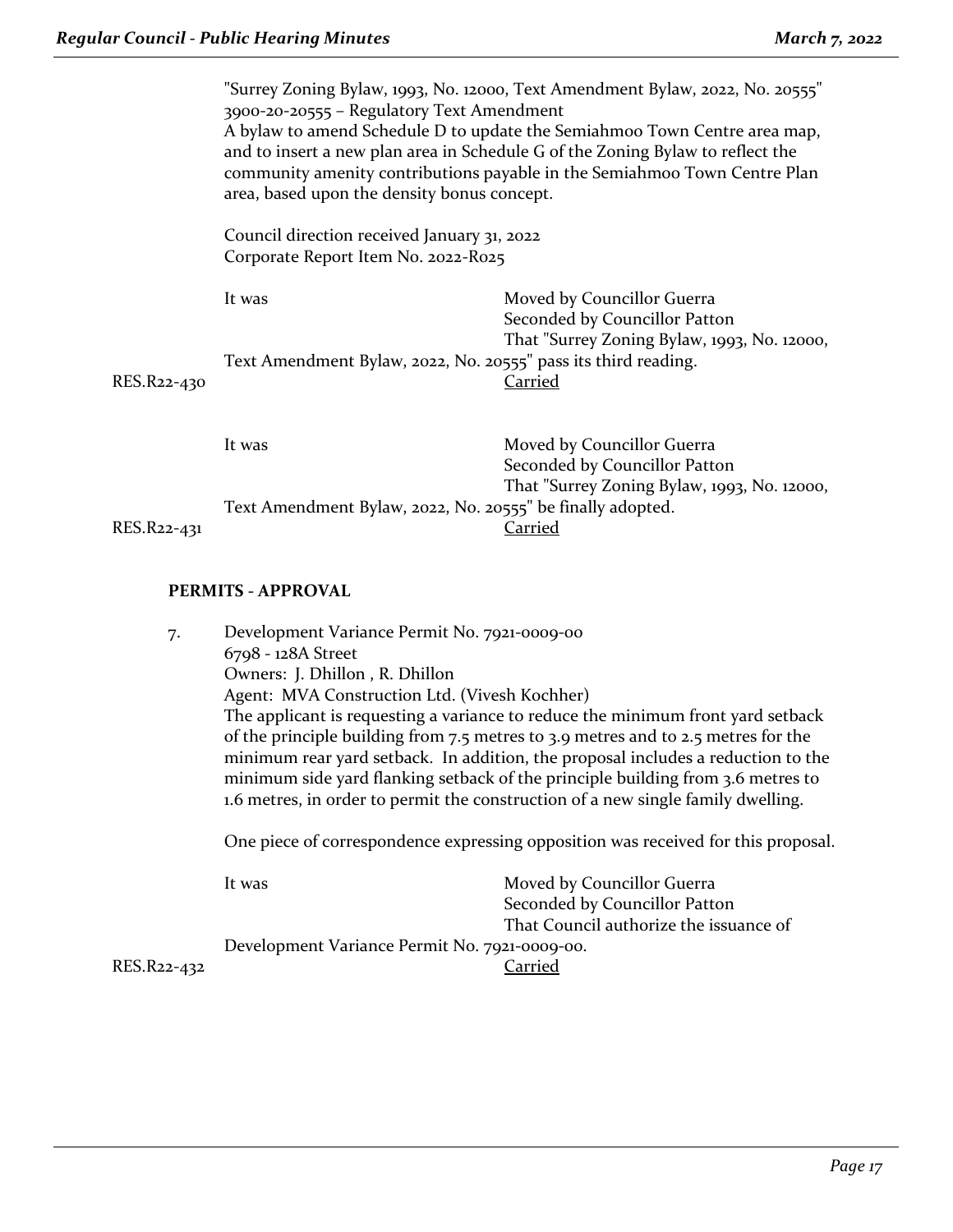|             | "Surrey Zoning Bylaw, 1993, No. 12000, Text Amendment Bylaw, 2022, No. 20555"<br>3900-20-20555 - Regulatory Text Amendment<br>A bylaw to amend Schedule D to update the Semiahmoo Town Centre area map,<br>and to insert a new plan area in Schedule G of the Zoning Bylaw to reflect the<br>community amenity contributions payable in the Semiahmoo Town Centre Plan<br>area, based upon the density bonus concept. |                                                                                                            |
|-------------|-----------------------------------------------------------------------------------------------------------------------------------------------------------------------------------------------------------------------------------------------------------------------------------------------------------------------------------------------------------------------------------------------------------------------|------------------------------------------------------------------------------------------------------------|
|             | Council direction received January 31, 2022<br>Corporate Report Item No. 2022-R025                                                                                                                                                                                                                                                                                                                                    |                                                                                                            |
|             | It was                                                                                                                                                                                                                                                                                                                                                                                                                | Moved by Councillor Guerra<br>Seconded by Councillor Patton<br>That "Surrey Zoning Bylaw, 1993, No. 12000, |
| RES.R22-430 | Text Amendment Bylaw, 2022, No. 20555" pass its third reading.                                                                                                                                                                                                                                                                                                                                                        | <u>Carried</u>                                                                                             |
|             | It was                                                                                                                                                                                                                                                                                                                                                                                                                | Moved by Councillor Guerra<br>Seconded by Councillor Patton<br>That "Surrey Zoning Bylaw, 1993, No. 12000, |
| RES.R22-431 | Text Amendment Bylaw, 2022, No. 20555" be finally adopted.                                                                                                                                                                                                                                                                                                                                                            | Carried                                                                                                    |
|             |                                                                                                                                                                                                                                                                                                                                                                                                                       |                                                                                                            |

# **PERMITS - APPROVAL**

| Development Variance Permit No. 7921-0009-00<br>7.                                                                                                                                                                                                                                                                                                                                                                              |                                        |
|---------------------------------------------------------------------------------------------------------------------------------------------------------------------------------------------------------------------------------------------------------------------------------------------------------------------------------------------------------------------------------------------------------------------------------|----------------------------------------|
| 6798 - 128A Street                                                                                                                                                                                                                                                                                                                                                                                                              |                                        |
|                                                                                                                                                                                                                                                                                                                                                                                                                                 |                                        |
| Agent: MVA Construction Ltd. (Vivesh Kochher)                                                                                                                                                                                                                                                                                                                                                                                   |                                        |
| The applicant is requesting a variance to reduce the minimum front yard setback<br>of the principle building from 7.5 metres to 3.9 metres and to 2.5 metres for the<br>minimum rear yard setback. In addition, the proposal includes a reduction to the<br>minimum side yard flanking setback of the principle building from 3.6 metres to<br>1.6 metres, in order to permit the construction of a new single family dwelling. |                                        |
|                                                                                                                                                                                                                                                                                                                                                                                                                                 |                                        |
| It was                                                                                                                                                                                                                                                                                                                                                                                                                          | Moved by Councillor Guerra             |
|                                                                                                                                                                                                                                                                                                                                                                                                                                 | Seconded by Councillor Patton          |
|                                                                                                                                                                                                                                                                                                                                                                                                                                 | That Council authorize the issuance of |
| Development Variance Permit No. 7921-0009-00.                                                                                                                                                                                                                                                                                                                                                                                   |                                        |
| Carried                                                                                                                                                                                                                                                                                                                                                                                                                         |                                        |
|                                                                                                                                                                                                                                                                                                                                                                                                                                 | Owners: J. Dhillon, R. Dhillon         |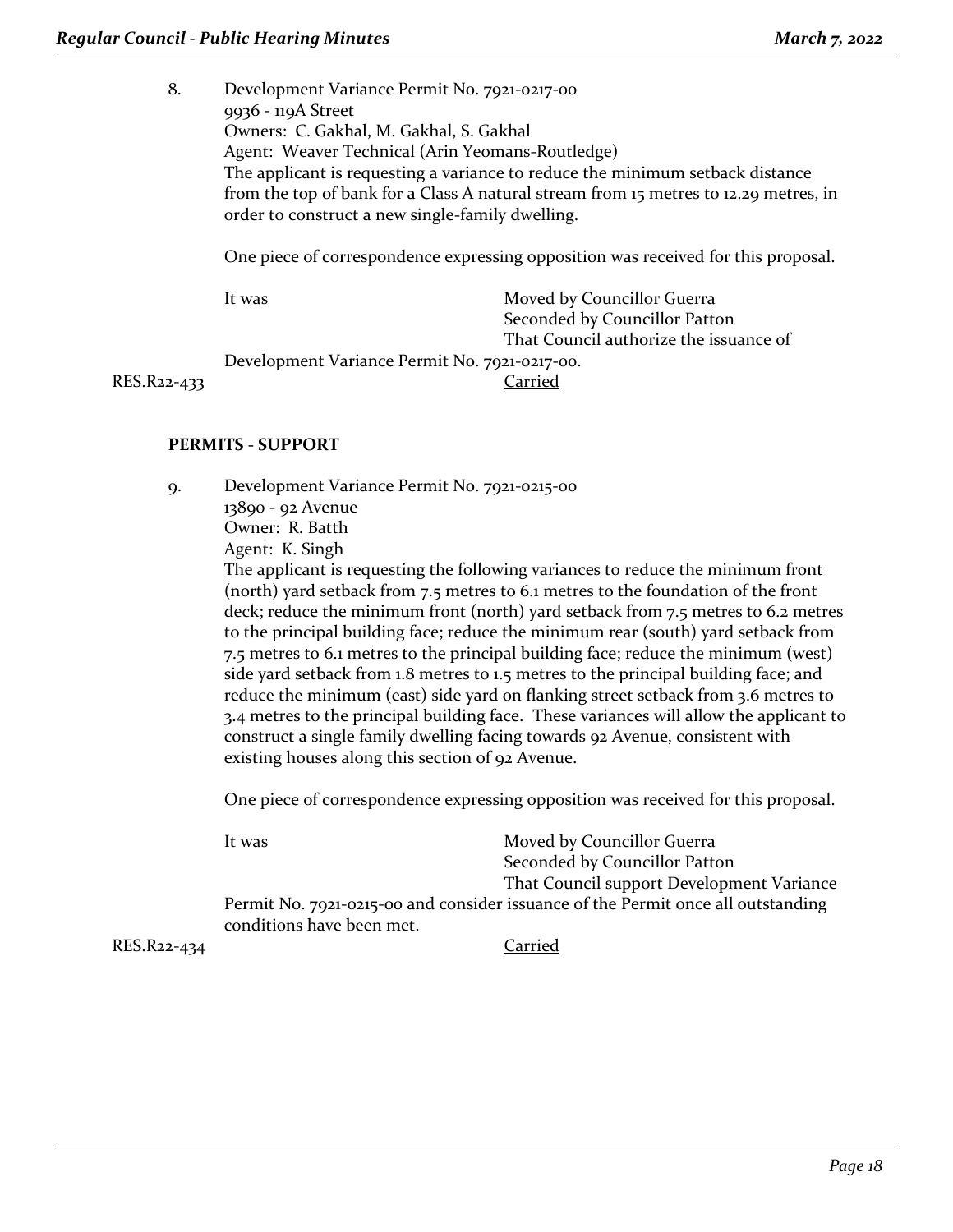8. Development Variance Permit No. 7921-0217-00 9936 ‐ 119A Street Owners: C. Gakhal, M. Gakhal, S. Gakhal Agent: Weaver Technical (Arin Yeomans‐Routledge) The applicant is requesting a variance to reduce the minimum setback distance from the top of bank for a Class A natural stream from 15 metres to 12.29 metres, in order to construct a new single-family dwelling.

One piece of correspondence expressing opposition was received for this proposal.

|                                               | It was | Moved by Councillor Guerra             |
|-----------------------------------------------|--------|----------------------------------------|
|                                               |        | Seconded by Councillor Patton          |
|                                               |        | That Council authorize the issuance of |
| Development Variance Permit No. 7921-0217-00. |        |                                        |
| RES.R22-433                                   |        | Carried                                |
|                                               |        |                                        |

### **PERMITS - SUPPORT**

9. Development Variance Permit No. 7921-0215-00 13890 - 92 Avenue Owner: R. Batth Agent: K. Singh The applicant is requesting the following variances to reduce the minimum front (north) yard setback from 7.5 metres to 6.1 metres to the foundation of the front deck; reduce the minimum front (north) yard setback from 7.5 metres to 6.2 metres to the principal building face; reduce the minimum rear (south) yard setback from 7.5 metres to 6.1 metres to the principal building face; reduce the minimum (west) side yard setback from 1.8 metres to 1.5 metres to the principal building face; and reduce the minimum (east) side yard on flanking street setback from 3.6 metres to 3.4 metres to the principal building face. These variances will allow the applicant to construct a single family dwelling facing towards 92 Avenue, consistent with existing houses along this section of 92 Avenue.

One piece of correspondence expressing opposition was received for this proposal.

|             | It was                    | Moved by Councillor Guerra                                                       |
|-------------|---------------------------|----------------------------------------------------------------------------------|
|             |                           | Seconded by Councillor Patton                                                    |
|             |                           | That Council support Development Variance                                        |
|             |                           | Permit No. 7921-0215-00 and consider issuance of the Permit once all outstanding |
|             | conditions have been met. |                                                                                  |
| RES.R22-434 |                           | Carried                                                                          |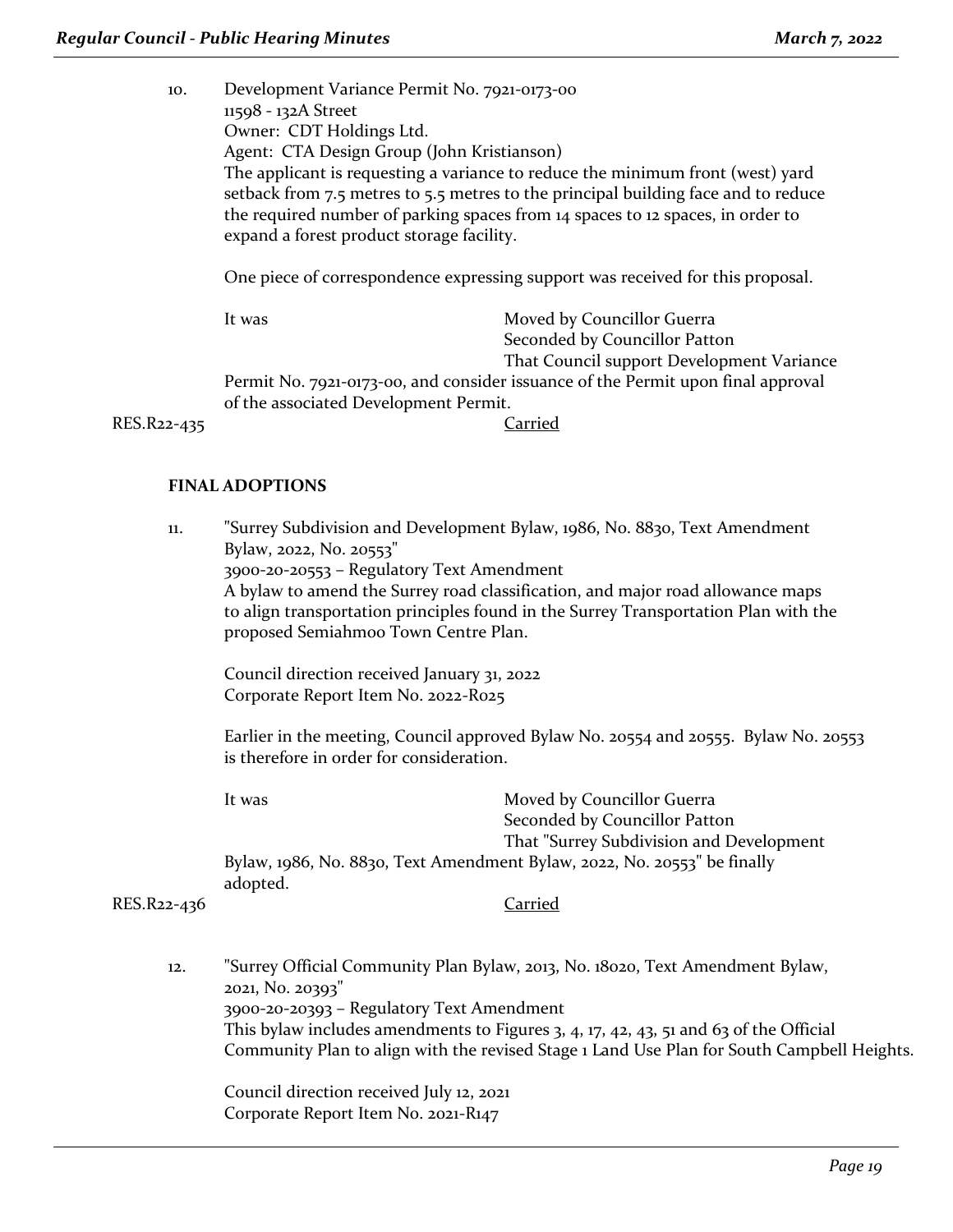10. Development Variance Permit No. 7921-0173-00 11598 - 132A Street Owner: CDT Holdings Ltd. Agent: CTA Design Group (John Kristianson) The applicant is requesting a variance to reduce the minimum front (west) yard setback from 7.5 metres to 5.5 metres to the principal building face and to reduce the required number of parking spaces from 14 spaces to 12 spaces, in order to expand a forest product storage facility.

One piece of correspondence expressing support was received for this proposal.

It was Moved by Councillor Guerra Seconded by Councillor Patton That Council support Development Variance Permit No. 7921-0173-00, and consider issuance of the Permit upon final approval of the associated Development Permit.

RES.R22-435 Carried

### **FINAL ADOPTIONS**

11. "Surrey Subdivision and Development Bylaw, 1986, No. 8830, Text Amendment Bylaw, 2022, No. 20553" 3900-20-20553 – Regulatory Text Amendment A bylaw to amend the Surrey road classification, and major road allowance maps to align transportation principles found in the Surrey Transportation Plan with the proposed Semiahmoo Town Centre Plan.

Council direction received January 31, 2022 Corporate Report Item No. 2022-R025

Earlier in the meeting, Council approved Bylaw No. 20554 and 20555. Bylaw No. 20553 is therefore in order for consideration.

| It was   | Moved by Councillor Guerra                                               |  |
|----------|--------------------------------------------------------------------------|--|
|          | Seconded by Councillor Patton                                            |  |
|          | That "Surrey Subdivision and Development"                                |  |
|          | Bylaw, 1986, No. 8830, Text Amendment Bylaw, 2022, No. 20553" be finally |  |
| adopted. |                                                                          |  |
|          |                                                                          |  |

### RES.R22-436 Carried

12. "Surrey Official Community Plan Bylaw, 2013, No. 18020, Text Amendment Bylaw, 2021, No. 20393" 3900-20-20393 – Regulatory Text Amendment This bylaw includes amendments to Figures 3, 4, 17, 42, 43, 51 and 63 of the Official Community Plan to align with the revised Stage 1 Land Use Plan for South Campbell Heights.

Council direction received July 12, 2021 Corporate Report Item No. 2021-R147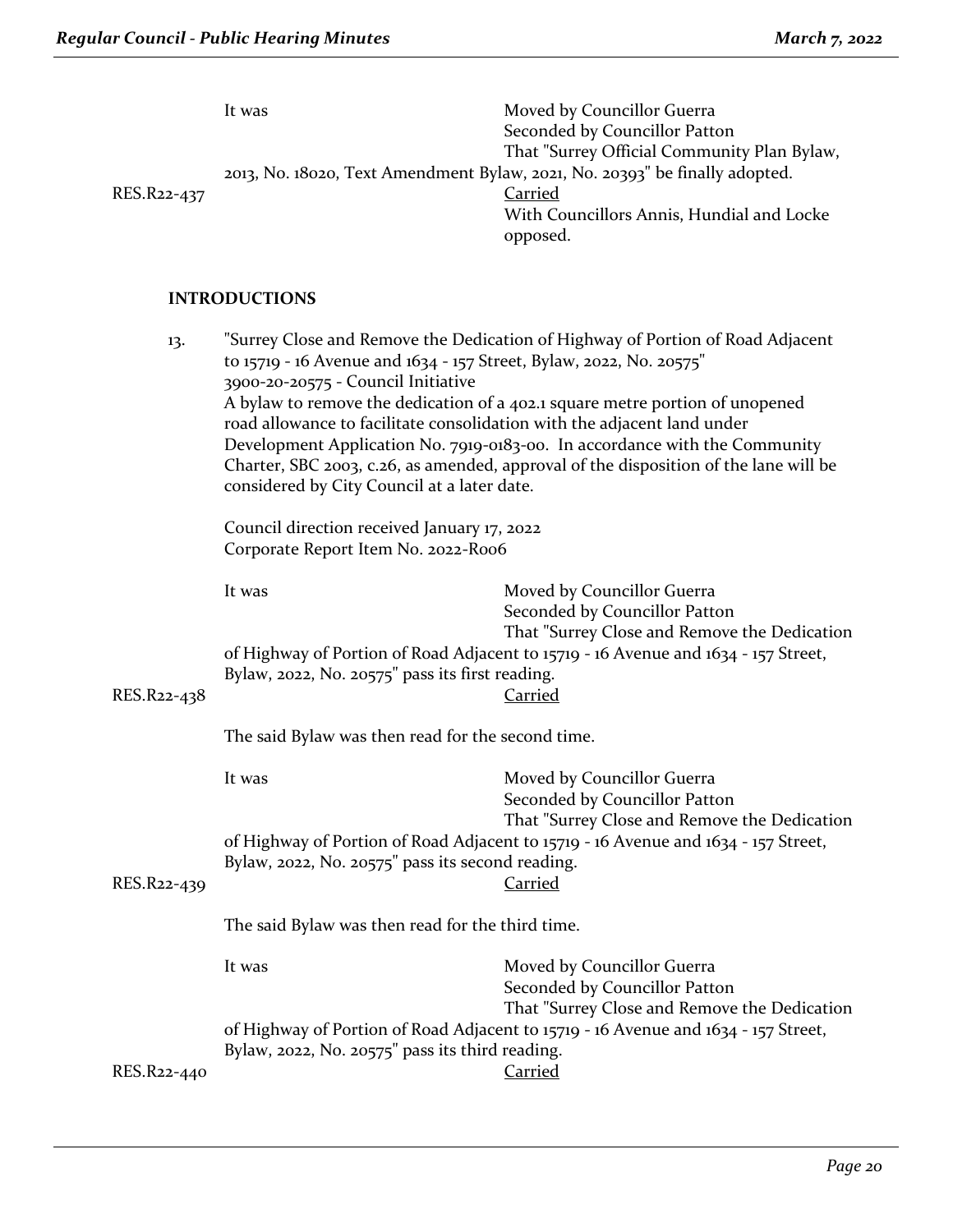| RES.R22-437 | It was                                                                               | Moved by Councillor Guerra<br>Seconded by Councillor Patton<br>That "Surrey Official Community Plan Bylaw,<br>2013, No. 18020, Text Amendment Bylaw, 2021, No. 20393" be finally adopted.<br>Carried<br>With Councillors Annis, Hundial and Locke<br>opposed. |
|-------------|--------------------------------------------------------------------------------------|---------------------------------------------------------------------------------------------------------------------------------------------------------------------------------------------------------------------------------------------------------------|
|             | <b>INTRODUCTIONS</b>                                                                 |                                                                                                                                                                                                                                                               |
| 13.         | to 15719 - 16 Avenue and 1634 - 157 Street, Bylaw, 2022, No. 20575"<br>$\mathcal{L}$ | "Surrey Close and Remove the Dedication of Highway of Portion of Road Adjacent                                                                                                                                                                                |

3900-20-20575 - Council Initiative A bylaw to remove the dedication of a 402.1 square metre portion of unopened road allowance to facilitate consolidation with the adjacent land under Development Application No. 7919-0183-00. In accordance with the Community Charter, SBC 2003, c.26, as amended, approval of the disposition of the lane will be considered by City Council at a later date.

Council direction received January 17, 2022 Corporate Report Item No. 2022-R006

| RES.R22-438                                       | It was<br>Bylaw, 2022, No. 20575" pass its first reading. | Moved by Councillor Guerra<br>Seconded by Councillor Patton<br>That "Surrey Close and Remove the Dedication<br>of Highway of Portion of Road Adjacent to 15719 - 16 Avenue and 1634 - 157 Street,<br><u>Carried</u> |
|---------------------------------------------------|-----------------------------------------------------------|---------------------------------------------------------------------------------------------------------------------------------------------------------------------------------------------------------------------|
| The said Bylaw was then read for the second time. |                                                           |                                                                                                                                                                                                                     |
|                                                   | It was                                                    | Moved by Councillor Guerra<br>Seconded by Councillor Patton<br>That "Surrey Close and Remove the Dedication                                                                                                         |
| RES.R22-439                                       | Bylaw, 2022, No. 20575" pass its second reading.          | of Highway of Portion of Road Adjacent to 15719 - 16 Avenue and 1634 - 157 Street,<br>Carried                                                                                                                       |
|                                                   | The said Bylaw was then read for the third time.          |                                                                                                                                                                                                                     |
|                                                   | It was                                                    | Moved by Councillor Guerra<br>Seconded by Councillor Patton<br>That "Surrey Close and Remove the Dedication                                                                                                         |
| RES.R22-440                                       | Bylaw, 2022, No. 20575" pass its third reading.           | of Highway of Portion of Road Adjacent to 15719 - 16 Avenue and 1634 - 157 Street,<br>Carried                                                                                                                       |
|                                                   |                                                           |                                                                                                                                                                                                                     |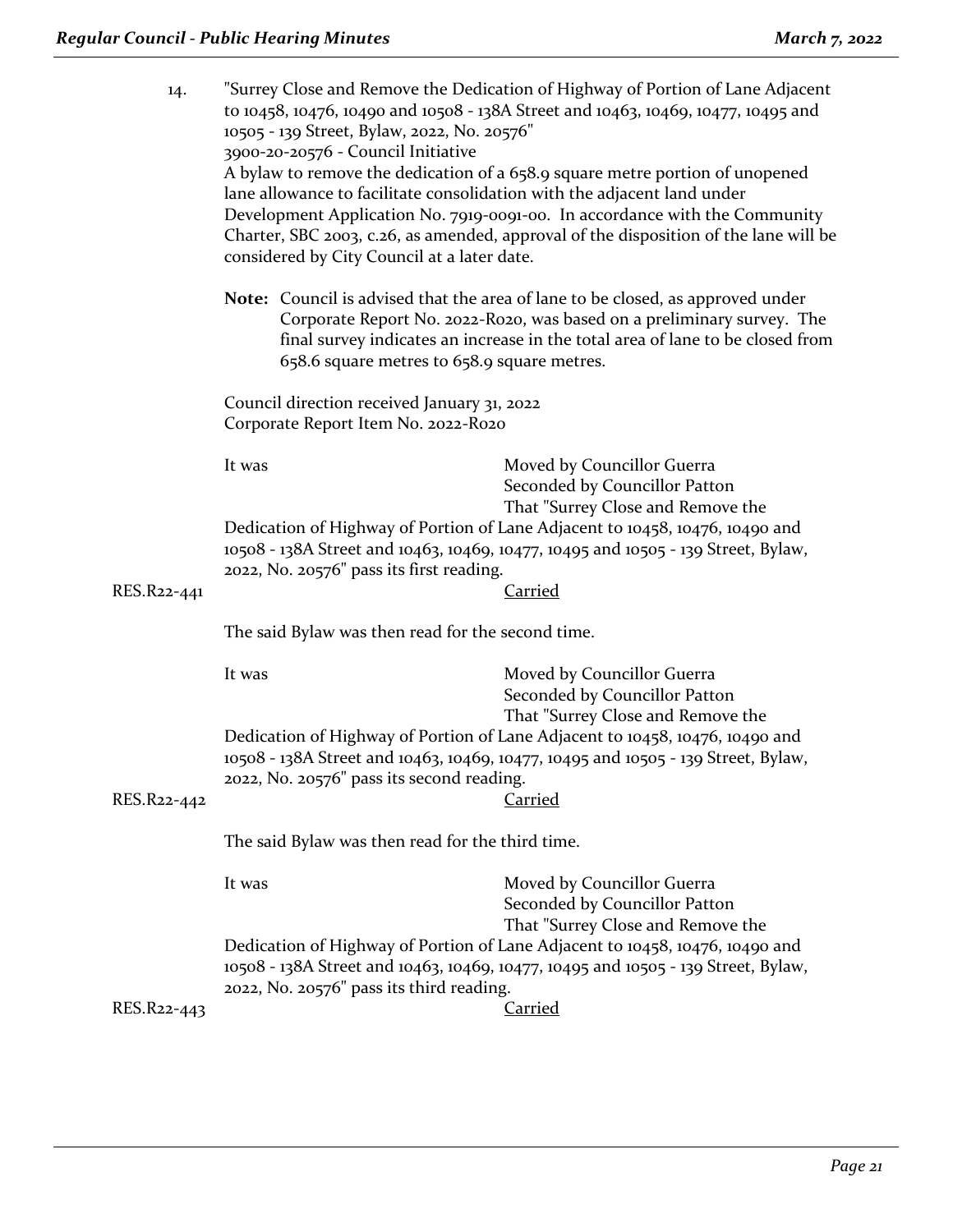| 14.         | "Surrey Close and Remove the Dedication of Highway of Portion of Lane Adjacent<br>to 10458, 10476, 10490 and 10508 - 138A Street and 10463, 10469, 10477, 10495 and<br>10505 - 139 Street, Bylaw, 2022, No. 20576"<br>3900-20-20576 - Council Initiative<br>A bylaw to remove the dedication of a 658.9 square metre portion of unopened<br>lane allowance to facilitate consolidation with the adjacent land under<br>Development Application No. 7919-0091-00. In accordance with the Community<br>Charter, SBC 2003, c.26, as amended, approval of the disposition of the lane will be<br>considered by City Council at a later date. |                                                                                                                                                                                                                                                   |  |
|-------------|------------------------------------------------------------------------------------------------------------------------------------------------------------------------------------------------------------------------------------------------------------------------------------------------------------------------------------------------------------------------------------------------------------------------------------------------------------------------------------------------------------------------------------------------------------------------------------------------------------------------------------------|---------------------------------------------------------------------------------------------------------------------------------------------------------------------------------------------------------------------------------------------------|--|
|             | 658.6 square metres to 658.9 square metres.                                                                                                                                                                                                                                                                                                                                                                                                                                                                                                                                                                                              | <b>Note:</b> Council is advised that the area of lane to be closed, as approved under<br>Corporate Report No. 2022-R020, was based on a preliminary survey. The<br>final survey indicates an increase in the total area of lane to be closed from |  |
|             | Council direction received January 31, 2022<br>Corporate Report Item No. 2022-Ro20                                                                                                                                                                                                                                                                                                                                                                                                                                                                                                                                                       |                                                                                                                                                                                                                                                   |  |
|             | It was                                                                                                                                                                                                                                                                                                                                                                                                                                                                                                                                                                                                                                   | Moved by Councillor Guerra<br>Seconded by Councillor Patton<br>That "Surrey Close and Remove the<br>Dedication of Highway of Portion of Lane Adjacent to 10458, 10476, 10490 and                                                                  |  |
| RES.R22-441 | 10508 - 138A Street and 10463, 10469, 10477, 10495 and 10505 - 139 Street, Bylaw,<br>2022, No. 20576" pass its first reading.<br>Carried                                                                                                                                                                                                                                                                                                                                                                                                                                                                                                 |                                                                                                                                                                                                                                                   |  |
|             | The said Bylaw was then read for the second time.                                                                                                                                                                                                                                                                                                                                                                                                                                                                                                                                                                                        |                                                                                                                                                                                                                                                   |  |
|             | It was                                                                                                                                                                                                                                                                                                                                                                                                                                                                                                                                                                                                                                   | Moved by Councillor Guerra<br>Seconded by Councillor Patton<br>That "Surrey Close and Remove the                                                                                                                                                  |  |
| RES.R22-442 | Dedication of Highway of Portion of Lane Adjacent to 10458, 10476, 10490 and<br>10508 - 138A Street and 10463, 10469, 10477, 10495 and 10505 - 139 Street, Bylaw,<br>2022, No. 20576" pass its second reading.<br><b>Carried</b>                                                                                                                                                                                                                                                                                                                                                                                                         |                                                                                                                                                                                                                                                   |  |
|             | The said Bylaw was then read for the third time.                                                                                                                                                                                                                                                                                                                                                                                                                                                                                                                                                                                         |                                                                                                                                                                                                                                                   |  |
|             | It was                                                                                                                                                                                                                                                                                                                                                                                                                                                                                                                                                                                                                                   | Moved by Councillor Guerra<br>Seconded by Councillor Patton<br>That "Surrey Close and Remove the                                                                                                                                                  |  |
|             | Dedication of Highway of Portion of Lane Adjacent to 10458, 10476, 10490 and<br>10508 - 138A Street and 10463, 10469, 10477, 10495 and 10505 - 139 Street, Bylaw,<br>2022, No. 20576" pass its third reading.                                                                                                                                                                                                                                                                                                                                                                                                                            |                                                                                                                                                                                                                                                   |  |
| RES.R22-443 |                                                                                                                                                                                                                                                                                                                                                                                                                                                                                                                                                                                                                                          | Carried                                                                                                                                                                                                                                           |  |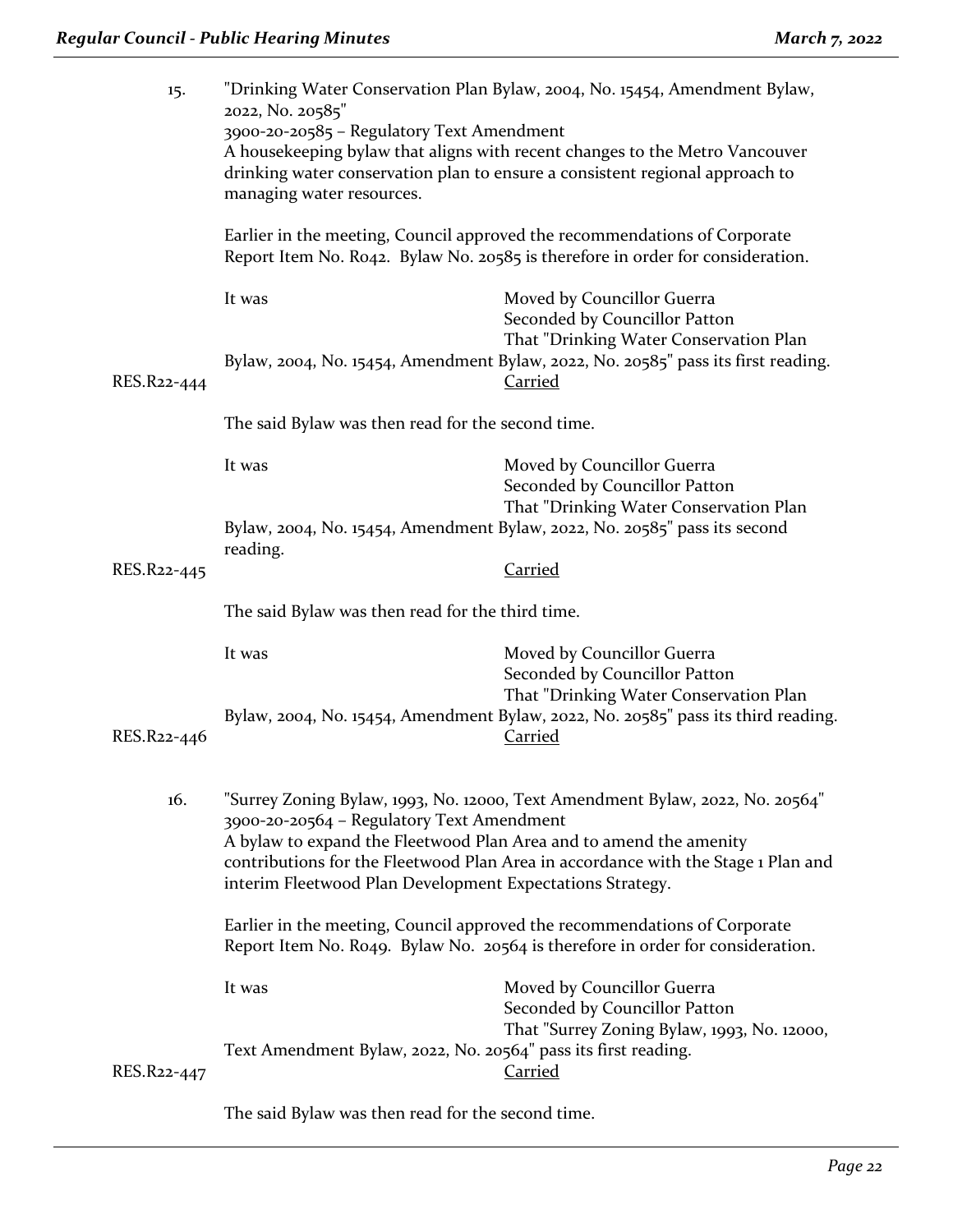| 15.         | "Drinking Water Conservation Plan Bylaw, 2004, No. 15454, Amendment Bylaw,<br>2022, No. 20585"                                                                                                                                                                                                                                                     |                                                                                                       |
|-------------|----------------------------------------------------------------------------------------------------------------------------------------------------------------------------------------------------------------------------------------------------------------------------------------------------------------------------------------------------|-------------------------------------------------------------------------------------------------------|
|             | 3900-20-20585 - Regulatory Text Amendment<br>A housekeeping bylaw that aligns with recent changes to the Metro Vancouver<br>drinking water conservation plan to ensure a consistent regional approach to<br>managing water resources.                                                                                                              |                                                                                                       |
|             | Earlier in the meeting, Council approved the recommendations of Corporate<br>Report Item No. Ro42. Bylaw No. 20585 is therefore in order for consideration.                                                                                                                                                                                        |                                                                                                       |
|             | It was                                                                                                                                                                                                                                                                                                                                             | Moved by Councillor Guerra<br>Seconded by Councillor Patton<br>That "Drinking Water Conservation Plan |
| RES.R22-444 |                                                                                                                                                                                                                                                                                                                                                    | Bylaw, 2004, No. 15454, Amendment Bylaw, 2022, No. 20585" pass its first reading.<br>Carried          |
|             | The said Bylaw was then read for the second time.                                                                                                                                                                                                                                                                                                  |                                                                                                       |
|             | It was                                                                                                                                                                                                                                                                                                                                             | Moved by Councillor Guerra<br>Seconded by Councillor Patton<br>That "Drinking Water Conservation Plan |
|             | Bylaw, 2004, No. 15454, Amendment Bylaw, 2022, No. 20585" pass its second<br>reading.                                                                                                                                                                                                                                                              |                                                                                                       |
| RES.R22-445 |                                                                                                                                                                                                                                                                                                                                                    | <b>Carried</b>                                                                                        |
|             | The said Bylaw was then read for the third time.                                                                                                                                                                                                                                                                                                   |                                                                                                       |
|             | It was                                                                                                                                                                                                                                                                                                                                             | Moved by Councillor Guerra<br>Seconded by Councillor Patton<br>That "Drinking Water Conservation Plan |
| RES.R22-446 |                                                                                                                                                                                                                                                                                                                                                    | Bylaw, 2004, No. 15454, Amendment Bylaw, 2022, No. 20585" pass its third reading.<br><b>Carried</b>   |
| 16.         | "Surrey Zoning Bylaw, 1993, No. 12000, Text Amendment Bylaw, 2022, No. 20564"<br>3900-20-20564 - Regulatory Text Amendment<br>A bylaw to expand the Fleetwood Plan Area and to amend the amenity<br>contributions for the Fleetwood Plan Area in accordance with the Stage 1 Plan and<br>interim Fleetwood Plan Development Expectations Strategy. |                                                                                                       |
|             | Earlier in the meeting, Council approved the recommendations of Corporate<br>Report Item No. Ro49. Bylaw No. 20564 is therefore in order for consideration.                                                                                                                                                                                        |                                                                                                       |
|             | It was                                                                                                                                                                                                                                                                                                                                             | Moved by Councillor Guerra<br>Seconded by Councillor Patton                                           |
| RES.R22-447 | Text Amendment Bylaw, 2022, No. 20564" pass its first reading.                                                                                                                                                                                                                                                                                     | That "Surrey Zoning Bylaw, 1993, No. 12000,<br><b>Carried</b>                                         |

The said Bylaw was then read for the second time.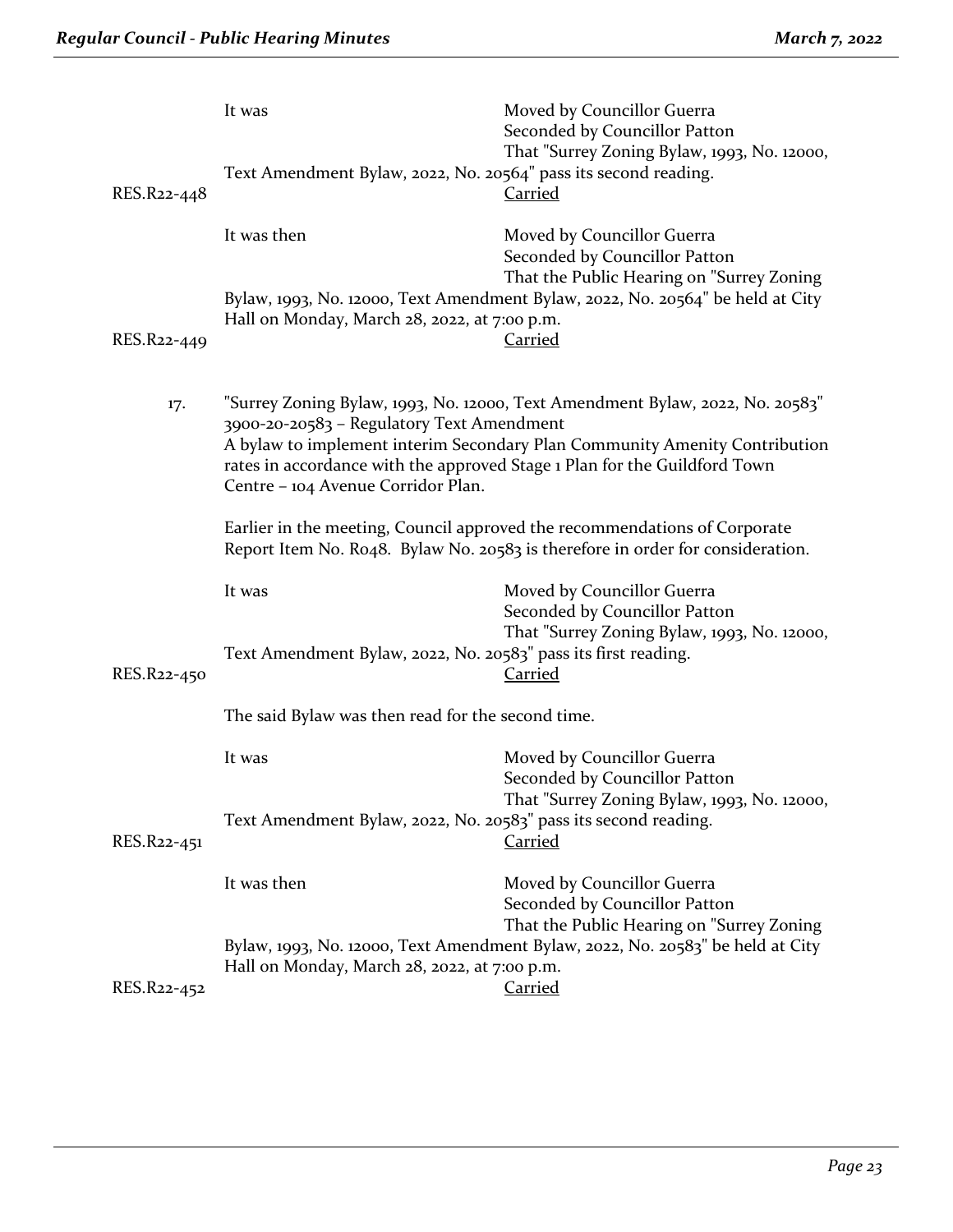| RES.R22-448 | It was<br>Text Amendment Bylaw, 2022, No. 20564" pass its second reading.                                                                                                                                                                                                                                                   | Moved by Councillor Guerra<br>Seconded by Councillor Patton<br>That "Surrey Zoning Bylaw, 1993, No. 12000,<br>Carried |
|-------------|-----------------------------------------------------------------------------------------------------------------------------------------------------------------------------------------------------------------------------------------------------------------------------------------------------------------------------|-----------------------------------------------------------------------------------------------------------------------|
|             | It was then                                                                                                                                                                                                                                                                                                                 | Moved by Councillor Guerra<br>Seconded by Councillor Patton<br>That the Public Hearing on "Surrey Zoning              |
| RES.R22-449 | Hall on Monday, March 28, 2022, at 7:00 p.m.                                                                                                                                                                                                                                                                                | Bylaw, 1993, No. 12000, Text Amendment Bylaw, 2022, No. 20564" be held at City<br><b>Carried</b>                      |
| 17.         | "Surrey Zoning Bylaw, 1993, No. 12000, Text Amendment Bylaw, 2022, No. 20583"<br>3900-20-20583 - Regulatory Text Amendment<br>A bylaw to implement interim Secondary Plan Community Amenity Contribution<br>rates in accordance with the approved Stage 1 Plan for the Guildford Town<br>Centre - 104 Avenue Corridor Plan. |                                                                                                                       |
|             | Earlier in the meeting, Council approved the recommendations of Corporate<br>Report Item No. Ro48. Bylaw No. 20583 is therefore in order for consideration.                                                                                                                                                                 |                                                                                                                       |
|             | It was                                                                                                                                                                                                                                                                                                                      | Moved by Councillor Guerra<br>Seconded by Councillor Patton<br>That "Surrey Zoning Bylaw, 1993, No. 12000,            |
| RES.R22-450 | Text Amendment Bylaw, 2022, No. 20583" pass its first reading.                                                                                                                                                                                                                                                              | <b>Carried</b>                                                                                                        |
|             | The said Bylaw was then read for the second time.                                                                                                                                                                                                                                                                           |                                                                                                                       |
|             | It was                                                                                                                                                                                                                                                                                                                      | Moved by Councillor Guerra<br>Seconded by Councillor Patton<br>That "Surrey Zoning Bylaw, 1993, No. 12000,            |
| RES.R22-451 | Text Amendment Bylaw, 2022, No. 20583" pass its second reading.                                                                                                                                                                                                                                                             | <b>Carried</b>                                                                                                        |
|             | It was then                                                                                                                                                                                                                                                                                                                 | Moved by Councillor Guerra<br>Seconded by Councillor Patton<br>That the Public Hearing on "Surrey Zoning              |
|             | Bylaw, 1993, No. 12000, Text Amendment Bylaw, 2022, No. 20583" be held at City<br>Hall on Monday, March 28, 2022, at 7:00 p.m.                                                                                                                                                                                              |                                                                                                                       |
| RES.R22-452 |                                                                                                                                                                                                                                                                                                                             | <b>Carried</b>                                                                                                        |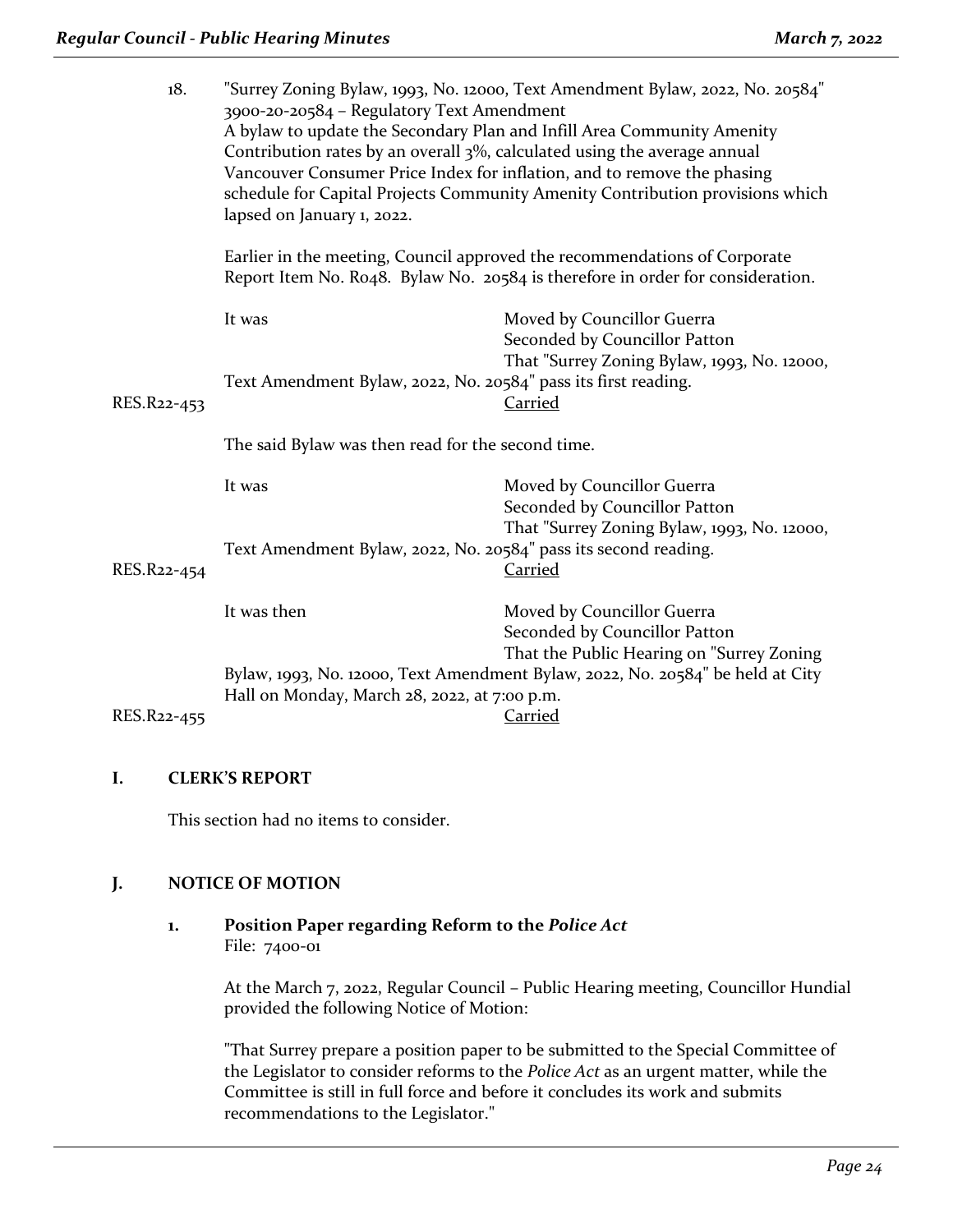| "Surrey Zoning Bylaw, 1993, No. 12000, Text Amendment Bylaw, 2022, No. 20584"<br>3900-20-20584 - Regulatory Text Amendment<br>A bylaw to update the Secondary Plan and Infill Area Community Amenity<br>Contribution rates by an overall 3%, calculated using the average annual<br>Vancouver Consumer Price Index for inflation, and to remove the phasing<br>schedule for Capital Projects Community Amenity Contribution provisions which<br>lapsed on January 1, 2022. |                                                                                                                                                                                   |
|----------------------------------------------------------------------------------------------------------------------------------------------------------------------------------------------------------------------------------------------------------------------------------------------------------------------------------------------------------------------------------------------------------------------------------------------------------------------------|-----------------------------------------------------------------------------------------------------------------------------------------------------------------------------------|
| Earlier in the meeting, Council approved the recommendations of Corporate<br>Report Item No. Ro48. Bylaw No. 20584 is therefore in order for consideration.                                                                                                                                                                                                                                                                                                                |                                                                                                                                                                                   |
| It was                                                                                                                                                                                                                                                                                                                                                                                                                                                                     | Moved by Councillor Guerra<br>Seconded by Councillor Patton<br>That "Surrey Zoning Bylaw, 1993, No. 12000,                                                                        |
|                                                                                                                                                                                                                                                                                                                                                                                                                                                                            | <b>Carried</b>                                                                                                                                                                    |
| The said Bylaw was then read for the second time.                                                                                                                                                                                                                                                                                                                                                                                                                          |                                                                                                                                                                                   |
| It was                                                                                                                                                                                                                                                                                                                                                                                                                                                                     | Moved by Councillor Guerra<br>Seconded by Councillor Patton                                                                                                                       |
|                                                                                                                                                                                                                                                                                                                                                                                                                                                                            | That "Surrey Zoning Bylaw, 1993, No. 12000,<br><b>Carried</b>                                                                                                                     |
| It was then                                                                                                                                                                                                                                                                                                                                                                                                                                                                | Moved by Councillor Guerra<br>Seconded by Councillor Patton<br>That the Public Hearing on "Surrey Zoning                                                                          |
|                                                                                                                                                                                                                                                                                                                                                                                                                                                                            | Bylaw, 1993, No. 12000, Text Amendment Bylaw, 2022, No. 20584" be held at City<br>Carried                                                                                         |
|                                                                                                                                                                                                                                                                                                                                                                                                                                                                            | Text Amendment Bylaw, 2022, No. 20584" pass its first reading.<br>Text Amendment Bylaw, 2022, No. 20584" pass its second reading.<br>Hall on Monday, March 28, 2022, at 7:00 p.m. |

# **I. CLERK'S REPORT**

This section had no items to consider.

# **J. NOTICE OF MOTION**

### **1. Position Paper regarding Reform to the** *Police Act* File: 7400-01

At the March 7, 2022, Regular Council – Public Hearing meeting, Councillor Hundial provided the following Notice of Motion:

"That Surrey prepare a position paper to be submitted to the Special Committee of the Legislator to consider reforms to the *Police Act* as an urgent matter, while the Committee is still in full force and before it concludes its work and submits recommendations to the Legislator."